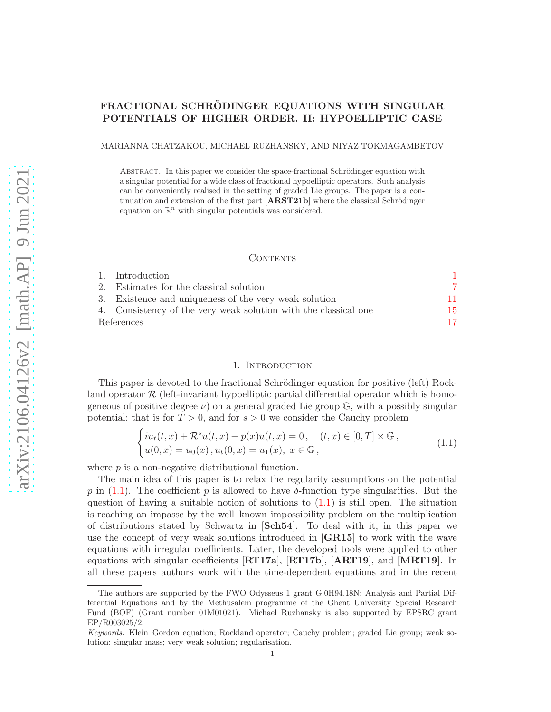# FRACTIONAL SCHRÖDINGER EQUATIONS WITH SINGULAR POTENTIALS OF HIGHER ORDER. II: HYPOELLIPTIC CASE

MARIANNA CHATZAKOU, MICHAEL RUZHANSKY, AND NIYAZ TOKMAGAMBETOV

ABSTRACT. In this paper we consider the space-fractional Schrödinger equation with a singular potential for a wide class of fractional hypoelliptic operators. Such analysis can be conveniently realised in the setting of graded Lie groups. The paper is a continuation and extension of the first part  $[ARST21b]$  where the classical Schrödinger equation on  $\mathbb{R}^n$  with singular potentials was considered.

#### CONTENTS

|            | 1. Introduction                                                 |     |
|------------|-----------------------------------------------------------------|-----|
|            | 2. Estimates for the classical solution                         |     |
|            | 3. Existence and uniqueness of the very weak solution           | 11. |
|            | 4. Consistency of the very weak solution with the classical one | 15. |
| References |                                                                 | 17. |

## 1. INTRODUCTION

<span id="page-0-0"></span>This paper is devoted to the fractional Schrödinger equation for positive (left) Rockland operator  $\mathcal R$  (left-invariant hypoelliptic partial differential operator which is homogeneous of positive degree  $\nu$ ) on a general graded Lie group  $\mathbb{G}$ , with a possibly singular potential; that is for  $T > 0$ , and for  $s > 0$  we consider the Cauchy problem

<span id="page-0-1"></span>
$$
\begin{cases}\ni u_t(t,x) + \mathcal{R}^s u(t,x) + p(x)u(t,x) = 0, & (t,x) \in [0,T] \times \mathbb{G}, \\
u(0,x) = u_0(x), u_t(0,x) = u_1(x), & x \in \mathbb{G},\n\end{cases}
$$
\n(1.1)

where  $p$  is a non-negative distributional function.

The main idea of this paper is to relax the regularity assumptions on the potential p in [\(1.1\)](#page-0-1). The coefficient p is allowed to have  $\delta$ -function type singularities. But the question of having a suitable notion of solutions to  $(1.1)$  is still open. The situation is reaching an impasse by the well–known impossibility problem on the multiplication of distributions stated by Schwartz in [Sch54]. To deal with it, in this paper we use the concept of very weak solutions introduced in  $\overline{GR15}$  to work with the wave equations with irregular coefficients. Later, the developed tools were applied to other equations with singular coefficients [RT17a], [RT17b], [ART19], and [MRT19]. In all these papers authors work with the time-dependent equations and in the recent

The authors are supported by the FWO Odysseus 1 grant G.0H94.18N: Analysis and Partial Differential Equations and by the Methusalem programme of the Ghent University Special Research Fund (BOF) (Grant number 01M01021). Michael Ruzhansky is also supported by EPSRC grant EP/R003025/2.

Keywords: Klein–Gordon equation; Rockland operator; Cauchy problem; graded Lie group; weak solution; singular mass; very weak solution; regularisation.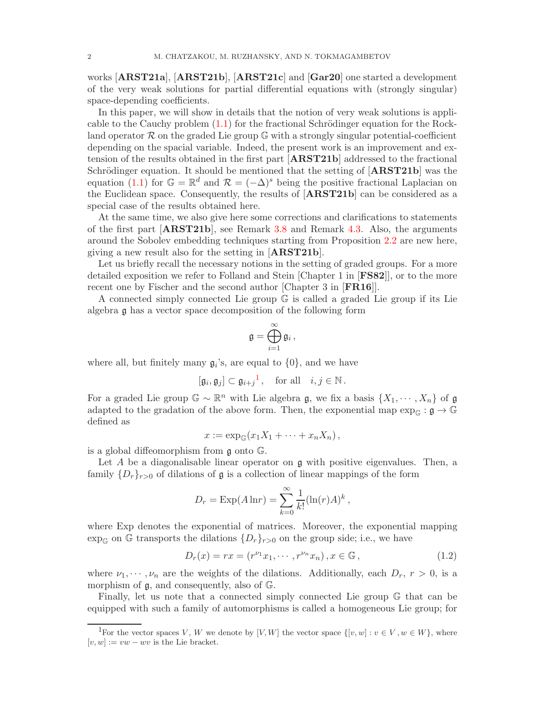works **[ARST21a**], **[ARST21b]**, **[ARST21c**] and **[Gar20**] one started a development of the very weak solutions for partial differential equations with (strongly singular) space-depending coefficients.

In this paper, we will show in details that the notion of very weak solutions is applicable to the Cauchy problem  $(1.1)$  for the fractional Schrödinger equation for the Rockland operator  $\mathcal R$  on the graded Lie group  $\mathbb G$  with a strongly singular potential-coefficient depending on the spacial variable. Indeed, the present work is an improvement and extension of the results obtained in the first part [ARST21b] addressed to the fractional Schrödinger equation. It should be mentioned that the setting of  $[ARST21b]$  was the equation [\(1.1\)](#page-0-1) for  $\mathbb{G} = \mathbb{R}^d$  and  $\mathcal{R} = (-\Delta)^s$  being the positive fractional Laplacian on the Euclidean space. Consequently, the results of [ARST21b] can be considered as a special case of the results obtained here.

At the same time, we also give here some corrections and clarifications to statements of the first part [ARST21b], see Remark [3.8](#page-12-0) and Remark [4.3.](#page-15-0) Also, the arguments around the Sobolev embedding techniques starting from Proposition [2.2](#page-8-0) are new here, giving a new result also for the setting in [ARST21b].

Let us briefly recall the necessary notions in the setting of graded groups. For a more detailed exposition we refer to Folland and Stein [Chapter 1 in [FS82]], or to the more recent one by Fischer and the second author [Chapter 3 in [FR16]].

A connected simply connected Lie group G is called a graded Lie group if its Lie algebra g has a vector space decomposition of the following form

$$
\mathfrak{g}=\bigoplus_{i=1}^{\infty}\mathfrak{g}_i\,,
$$

where all, but finitely many  $\mathfrak{g}_i$ 's, are equal to  $\{0\}$ , and we have

$$
[\mathfrak{g}_i, \mathfrak{g}_j] \subset \mathfrak{g}_{i+j}^{-1}
$$
, for all  $i, j \in \mathbb{N}$ .

For a graded Lie group  $\mathbb{G} \sim \mathbb{R}^n$  with Lie algebra g, we fix a basis  $\{X_1, \dots, X_n\}$  of g adapted to the gradation of the above form. Then, the exponential map  $\exp_{\mathbb{G}} : \mathfrak{g} \to \mathbb{G}$ defined as

$$
x := \exp_{\mathbb{G}}(x_1X_1 + \cdots + x_nX_n),
$$

is a global diffeomorphism from g onto G.

Let A be a diagonalisable linear operator on  $\mathfrak g$  with positive eigenvalues. Then, a family  $\{D_r\}_{r>0}$  of dilations of  $\mathfrak g$  is a collection of linear mappings of the form

$$
D_r = \text{Exp}(A \ln r) = \sum_{k=0}^{\infty} \frac{1}{k!} (\ln(r)A)^k,
$$

where Exp denotes the exponential of matrices. Moreover, the exponential mapping  $\exp_{\mathbb{G}}$  on  $\mathbb G$  transports the dilations  $\{D_r\}_{r>0}$  on the group side; i.e., we have

<span id="page-1-1"></span>
$$
D_r(x) = rx = (r^{\nu_1}x_1, \cdots, r^{\nu_n}x_n), x \in \mathbb{G},
$$
\n(1.2)

where  $\nu_1, \dots, \nu_n$  are the weights of the dilations. Additionally, each  $D_r$ ,  $r > 0$ , is a morphism of g, and consequently, also of G.

Finally, let us note that a connected simply connected Lie group G that can be equipped with such a family of automorphisms is called a homogeneous Lie group; for

<span id="page-1-0"></span><sup>&</sup>lt;sup>1</sup>For the vector spaces V, W we denote by [V, W] the vector space  $\{[v, w] : v \in V, w \in W\}$ , where  $[v, w] := vw - wv$  is the Lie bracket.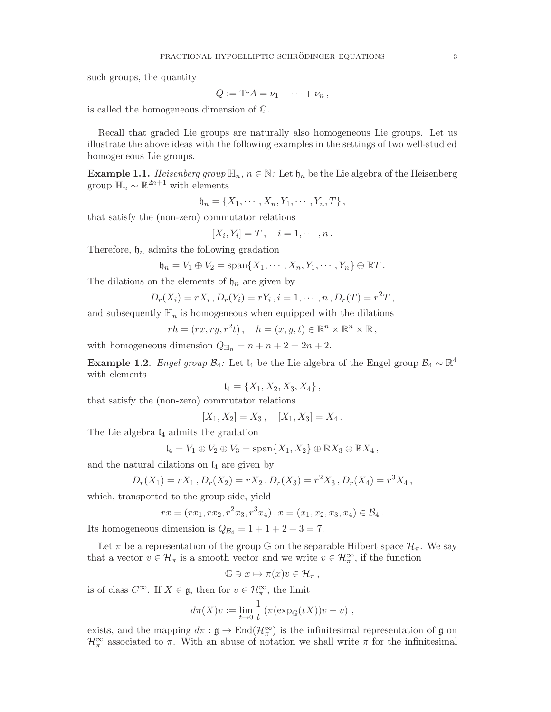such groups, the quantity

$$
Q:=\mathrm{Tr} A=\nu_1+\cdots+\nu_n\,,
$$

is called the homogeneous dimension of G.

Recall that graded Lie groups are naturally also homogeneous Lie groups. Let us illustrate the above ideas with the following examples in the settings of two well-studied homogeneous Lie groups.

<span id="page-2-0"></span>**Example 1.1.** Heisenberg group  $\mathbb{H}_n$ ,  $n \in \mathbb{N}$ : Let  $\mathfrak{h}_n$  be the Lie algebra of the Heisenberg group  $\mathbb{H}_n \sim \mathbb{R}^{2n+1}$  with elements

$$
\mathfrak{h}_n = \{X_1, \cdots, X_n, Y_1, \cdots, Y_n, T\},\
$$

that satisfy the (non-zero) commutator relations

$$
[X_i,Y_i]=T\,,\quad i=1,\cdots,n\,.
$$

Therefore,  $\mathfrak{h}_n$  admits the following gradation

$$
\mathfrak{h}_n=V_1\oplus V_2=\mathrm{span}\{X_1,\cdots,X_n,Y_1,\cdots,Y_n\}\oplus\mathbb{R}T.
$$

The dilations on the elements of  $\mathfrak{h}_n$  are given by

$$
D_r(X_i) = rX_i, D_r(Y_i) = rY_i, i = 1, \cdots, n, D_r(T) = r^2T,
$$

and subsequently  $\mathbb{H}_n$  is homogeneous when equipped with the dilations

$$
rh = (rx, ry, r2t), \quad h = (x, y, t) \in \mathbb{R}^n \times \mathbb{R}^n \times \mathbb{R},
$$

<span id="page-2-1"></span>with homogeneous dimension  $Q_{\mathbb{H}_n} = n + n + 2 = 2n + 2$ .

**Example 1.2.** Engel group  $\mathcal{B}_4$ : Let  $\mathfrak{l}_4$  be the Lie algebra of the Engel group  $\mathcal{B}_4 \sim \mathbb{R}^4$ with elements

$$
\mathfrak{l}_4 = \{X_1, X_2, X_3, X_4\},\,
$$

that satisfy the (non-zero) commutator relations

$$
[X_1, X_2] = X_3, \quad [X_1, X_3] = X_4.
$$

The Lie algebra  $I_4$  admits the gradation

$$
I_4 = V_1 \oplus V_2 \oplus V_3 = \text{span}\{X_1, X_2\} \oplus \mathbb{R}X_3 \oplus \mathbb{R}X_4,
$$

and the natural dilations on  $\mathfrak{l}_4$  are given by

$$
D_r(X_1) = rX_1, D_r(X_2) = rX_2, D_r(X_3) = r^2X_3, D_r(X_4) = r^3X_4,
$$

which, transported to the group side, yield

$$
rx = (rx_1, rx_2, r^2x_3, r^3x_4), x = (x_1, x_2, x_3, x_4) \in \mathcal{B}_4.
$$

Its homogeneous dimension is  $Q_{\mathcal{B}_4} = 1 + 1 + 2 + 3 = 7$ .

Let  $\pi$  be a representation of the group G on the separable Hilbert space  $\mathcal{H}_{\pi}$ . We say that a vector  $v \in \mathcal{H}_{\pi}$  is a smooth vector and we write  $v \in \mathcal{H}_{\pi}^{\infty}$ , if the function

$$
\mathbb{G} \ni x \mapsto \pi(x)v \in \mathcal{H}_{\pi},
$$

is of class  $C^{\infty}$ . If  $X \in \mathfrak{g}$ , then for  $v \in \mathcal{H}_{\pi}^{\infty}$ , the limit

$$
d\pi(X)v := \lim_{t \to 0} \frac{1}{t} \left( \pi(\exp_{\mathbb{G}}(tX))v - v \right),
$$

exists, and the mapping  $d\pi$ :  $\mathfrak{g} \to \text{End}(\mathcal{H}_{\pi}^{\infty})$  is the infinitesimal representation of  $\mathfrak{g}$  on  $\mathcal{H}_{\pi}^{\infty}$  associated to  $\pi$ . With an abuse of notation we shall write  $\pi$  for the infinitesimal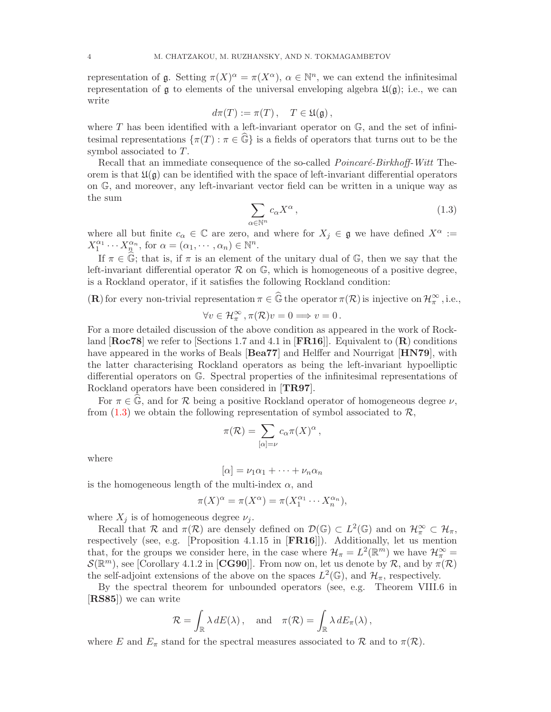representation of  $\mathfrak g$ . Setting  $\pi(X)^\alpha = \pi(X^\alpha)$ ,  $\alpha \in \mathbb N^n$ , we can extend the infinitesimal representation of  $\mathfrak g$  to elements of the universal enveloping algebra  $\mathfrak U(\mathfrak g)$ ; i.e., we can write

$$
d\pi(T) := \pi(T), \quad T \in \mathfrak{U}(\mathfrak{g}),
$$

where T has been identified with a left-invariant operator on  $\mathbb{G}$ , and the set of infinitesimal representations  $\{\pi(T): \pi \in \widehat{\mathbb{G}}\}$  is a fields of operators that turns out to be the symbol associated to T.

Recall that an immediate consequence of the so-called *Poincaré-Birkhoff-Witt* Theorem is that  $\mathfrak{U}(\mathfrak{g})$  can be identified with the space of left-invariant differential operators on G, and moreover, any left-invariant vector field can be written in a unique way as the sum

<span id="page-3-0"></span>
$$
\sum_{\alpha \in \mathbb{N}^n} c_{\alpha} X^{\alpha} , \qquad (1.3)
$$

where all but finite  $c_{\alpha} \in \mathbb{C}$  are zero, and where for  $X_j \in \mathfrak{g}$  we have defined  $X^{\alpha} :=$  $X_1^{\alpha_1} \cdots X_n^{\alpha_n}$ , for  $\alpha = (\alpha_1, \dots, \alpha_n) \in \mathbb{N}^n$ .

If  $\pi \in \mathbb{G}$ ; that is, if  $\pi$  is an element of the unitary dual of  $\mathbb{G}$ , then we say that the left-invariant differential operator  $\mathcal R$  on  $\mathbb G$ , which is homogeneous of a positive degree, is a Rockland operator, if it satisfies the following Rockland condition:

(**R**) for every non-trivial representation  $\pi \in \widehat{\mathbb{G}}$  the operator  $\pi(\mathcal{R})$  is injective on  $\mathcal{H}_{\pi}^{\infty}$ , i.e.,

$$
\forall v \in \mathcal{H}_{\pi}^{\infty}, \pi(\mathcal{R})v = 0 \Longrightarrow v = 0.
$$

For a more detailed discussion of the above condition as appeared in the work of Rockland  $\left[\text{Roc78}\right]$  we refer to  $\left[\text{Sections } 1.7 \text{ and } 4.1 \text{ in } \left[\text{FR16}\right]\right]$ . Equivalent to  $\left(\text{R}\right)$  conditions have appeared in the works of Beals [Bea77] and Helffer and Nourrigat [HN79], with the latter characterising Rockland operators as being the left-invariant hypoelliptic differential operators on G. Spectral properties of the infinitesimal representations of Rockland operators have been considered in [TR97].

For  $\pi \in \widehat{\mathbb{G}}$ , and for R being a positive Rockland operator of homogeneous degree  $\nu$ , from  $(1.3)$  we obtain the following representation of symbol associated to  $\mathcal{R}$ ,

$$
\pi(\mathcal{R}) = \sum_{[\alpha]=\nu} c_{\alpha} \pi(X)^{\alpha},
$$

where

$$
[\alpha]=\nu_1\alpha_1+\cdots+\nu_n\alpha_n
$$

is the homogeneous length of the multi-index  $\alpha$ , and

$$
\pi(X)^{\alpha} = \pi(X^{\alpha}) = \pi(X_1^{\alpha_1} \cdots X_n^{\alpha_n}),
$$

where  $X_j$  is of homogeneous degree  $\nu_j$ .

Recall that R and  $\pi(\mathcal{R})$  are densely defined on  $\mathcal{D}(\mathbb{G}) \subset L^2(\mathbb{G})$  and on  $\mathcal{H}_{\pi}^{\infty} \subset \mathcal{H}_{\pi}$ , respectively (see, e.g. [Proposition 4.1.15 in [FR16]]). Additionally, let us mention that, for the groups we consider here, in the case where  $\mathcal{H}_{\pi} = L^2(\mathbb{R}^m)$  we have  $\mathcal{H}_{\pi}^{\infty} =$  $\mathcal{S}(\mathbb{R}^m)$ , see [Corollary 4.1.2 in [CG90]]. From now on, let us denote by  $\mathcal{R}$ , and by  $\pi(\mathcal{R})$ the self-adjoint extensions of the above on the spaces  $L^2(\mathbb{G})$ , and  $\mathcal{H}_{\pi}$ , respectively.

By the spectral theorem for unbounded operators (see, e.g. Theorem VIII.6 in [RS85]) we can write

$$
\mathcal{R} = \int_{\mathbb{R}} \lambda dE(\lambda), \text{ and } \pi(\mathcal{R}) = \int_{\mathbb{R}} \lambda dE_{\pi}(\lambda),
$$

where E and  $E_{\pi}$  stand for the spectral measures associated to R and to  $\pi(\mathcal{R})$ .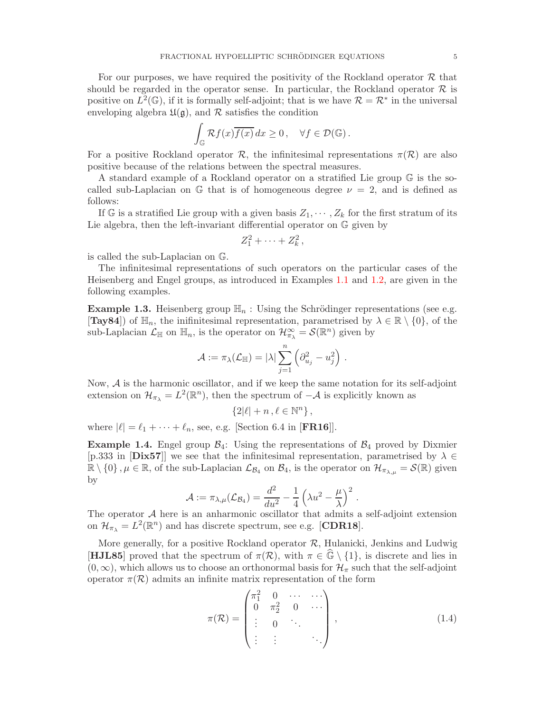For our purposes, we have required the positivity of the Rockland operator  $\mathcal R$  that should be regarded in the operator sense. In particular, the Rockland operator  $\mathcal R$  is positive on  $L^2(\mathbb{G})$ , if it is formally self-adjoint; that is we have  $\mathcal{R} = \mathcal{R}^*$  in the universal enveloping algebra  $\mathfrak{U}(\mathfrak{g})$ , and  $\mathcal R$  satisfies the condition

$$
\int_{\mathbb{G}} \mathcal{R}f(x)\overline{f(x)} dx \ge 0, \quad \forall f \in \mathcal{D}(\mathbb{G}).
$$

For a positive Rockland operator R, the infinitesimal representations  $\pi(\mathcal{R})$  are also positive because of the relations between the spectral measures.

A standard example of a Rockland operator on a stratified Lie group G is the socalled sub-Laplacian on G that is of homogeneous degree  $\nu = 2$ , and is defined as follows:

If G is a stratified Lie group with a given basis  $Z_1, \dots, Z_k$  for the first stratum of its Lie algebra, then the left-invariant differential operator on G given by

$$
Z_1^2 + \cdots + Z_k^2\,,
$$

is called the sub-Laplacian on G.

The infinitesimal representations of such operators on the particular cases of the Heisenberg and Engel groups, as introduced in Examples [1.1](#page-2-0) and [1.2,](#page-2-1) are given in the following examples.

**Example 1.3.** Heisenberg group  $\mathbb{H}_n$ : Using the Schrödinger representations (see e.g. [Tay84]) of  $\mathbb{H}_n$ , the inifinitesimal representation, parametrised by  $\lambda \in \mathbb{R} \setminus \{0\}$ , of the sub-Laplacian  $\mathcal{L}_{\mathbb{H}}$  on  $\mathbb{H}_n$ , is the operator on  $\mathcal{H}_{\pi_\lambda}^{\infty} = \mathcal{S}(\mathbb{R}^n)$  given by

$$
\mathcal{A}:=\pi_{\lambda}(\mathcal{L}_{\mathbb{H}})=|\lambda|\sum_{j=1}^n\left(\partial_{u_j}^2-u_j^2\right)\,.
$$

Now,  $A$  is the harmonic oscillator, and if we keep the same notation for its self-adjoint extension on  $\mathcal{H}_{\pi_{\lambda}} = L^2(\mathbb{R}^n)$ , then the spectrum of  $-\mathcal{A}$  is explicitly known as

$$
\{2|\ell|+n\,,\ell\in\mathbb{N}^n\}\,,
$$

where  $|\ell| = \ell_1 + \cdots + \ell_n$ , see, e.g. [Section 6.4 in [**FR16**]].

**Example 1.4.** Engel group  $\mathcal{B}_4$ : Using the representations of  $\mathcal{B}_4$  proved by Dixmier [p.333 in [Dix57]] we see that the infinitesimal representation, parametrised by  $\lambda \in$  $\mathbb{R} \setminus \{0\}$ ,  $\mu \in \mathbb{R}$ , of the sub-Laplacian  $\mathcal{L}_{\mathcal{B}_4}$  on  $\mathcal{B}_4$ , is the operator on  $\mathcal{H}_{\pi_{\lambda,\mu}} = \mathcal{S}(\mathbb{R})$  given by

$$
\mathcal{A}:=\pi_{\lambda,\mu}(\mathcal{L}_{\mathcal{B}_4})=\frac{d^2}{du^2}-\frac{1}{4}\left(\lambda u^2-\frac{\mu}{\lambda}\right)^2\,.
$$

The operator  $A$  here is an anharmonic oscillator that admits a self-adjoint extension on  $\mathcal{H}_{\pi_{\lambda}} = L^2(\mathbb{R}^n)$  and has discrete spectrum, see e.g. [CDR18].

More generally, for a positive Rockland operator  $R$ , Hulanicki, Jenkins and Ludwig [HJL85] proved that the spectrum of  $\pi(\mathcal{R})$ , with  $\pi \in \mathbb{G} \setminus \{1\}$ , is discrete and lies in  $(0,\infty)$ , which allows us to choose an orthonormal basis for  $\mathcal{H}_{\pi}$  such that the self-adjoint operator  $\pi(\mathcal{R})$  admits an infinite matrix representation of the form

<span id="page-4-0"></span>
$$
\pi(\mathcal{R}) = \begin{pmatrix} \pi_1^2 & 0 & \cdots & \cdots \\ 0 & \pi_2^2 & 0 & \cdots \\ \vdots & 0 & \ddots & \\ \vdots & \vdots & \ddots & \ddots \end{pmatrix}, \qquad (1.4)
$$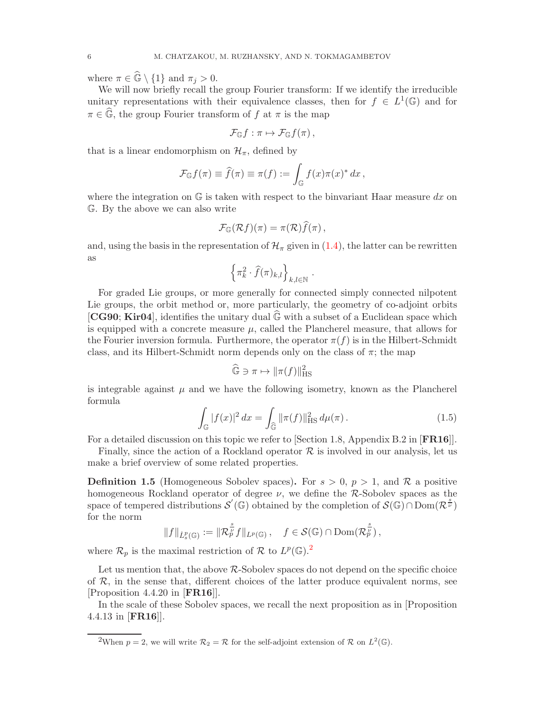where  $\pi \in \mathbb{G} \setminus \{1\}$  and  $\pi_j > 0$ .

We will now briefly recall the group Fourier transform: If we identify the irreducible unitary representations with their equivalence classes, then for  $f \in L^1(\mathbb{G})$  and for  $\pi \in \widehat{\mathbb{G}}$ , the group Fourier transform of f at  $\pi$  is the map

$$
\mathcal{F}_{\mathbb{G}}f:\pi\mapsto\mathcal{F}_{\mathbb{G}}f(\pi)\,,
$$

that is a linear endomorphism on  $\mathcal{H}_{\pi}$ , defined by

$$
\mathcal{F}_{\mathbb{G}}f(\pi) \equiv \widehat{f}(\pi) \equiv \pi(f) := \int_{\mathbb{G}} f(x)\pi(x)^* dx,
$$

where the integration on  $\mathbb{G}$  is taken with respect to the binvariant Haar measure dx on G. By the above we can also write

$$
\mathcal{F}_{\mathbb{G}}(\mathcal{R}f)(\pi) = \pi(\mathcal{R})f(\pi) ,
$$

and, using the basis in the representation of  $\mathcal{H}_{\pi}$  given in [\(1.4\)](#page-4-0), the latter can be rewritten as

$$
\left\{\pi_k^2\cdot \widehat{f}(\pi)_{k,l}\right\}_{k,l\in\mathbb{N}}.
$$

For graded Lie groups, or more generally for connected simply connected nilpotent Lie groups, the orbit method or, more particularly, the geometry of co-adjoint orbits [CG90; Kir04], identifies the unitary dual  $\mathbb{G}$  with a subset of a Euclidean space which is equipped with a concrete measure  $\mu$ , called the Plancherel measure, that allows for the Fourier inversion formula. Furthermore, the operator  $\pi(f)$  is in the Hilbert-Schmidt class, and its Hilbert-Schmidt norm depends only on the class of  $\pi$ ; the map

$$
\widehat{\mathbb{G}} \ni \pi \mapsto ||\pi(f)||_{\text{HS}}^2
$$

is integrable against  $\mu$  and we have the following isometry, known as the Plancherel formula

<span id="page-5-1"></span>
$$
\int_{\mathbb{G}} |f(x)|^2 dx = \int_{\widehat{\mathbb{G}}} ||\pi(f)||_{\text{HS}}^2 d\mu(\pi).
$$
 (1.5)

For a detailed discussion on this topic we refer to [Section 1.8, Appendix B.2 in [FR16]].

Finally, since the action of a Rockland operator  $\mathcal R$  is involved in our analysis, let us make a brief overview of some related properties.

**Definition 1.5** (Homogeneous Sobolev spaces). For  $s > 0$ ,  $p > 1$ , and R a positive homogeneous Rockland operator of degree  $\nu$ , we define the R-Sobolev spaces as the space of tempered distributions  $\mathcal{S}'(\mathbb{G})$  obtained by the completion of  $\mathcal{S}(\mathbb{G}) \cap \text{Dom}(\mathcal{R}^{\frac{s}{\nu}})$ for the norm

$$
||f||_{\dot{L}^p_s(\mathbb{G})} := ||\mathcal{R}_p^{\frac{s}{\nu}}f||_{L^p(\mathbb{G})}, \quad f \in \mathcal{S}(\mathbb{G}) \cap \text{Dom}(\mathcal{R}_p^{\frac{s}{\nu}}),
$$

where  $\mathcal{R}_p$  is the maximal restriction of  $\mathcal R$  to  $L^p(\mathbb{G})$ .<sup>[2](#page-5-0)</sup>

Let us mention that, the above R-Sobolev spaces do not depend on the specific choice of  $R$ , in the sense that, different choices of the latter produce equivalent norms, see [Proposition 4.4.20 in [FR16]].

In the scale of these Sobolev spaces, we recall the next proposition as in [Proposition 4.4.13 in [FR16]].

<span id="page-5-0"></span><sup>&</sup>lt;sup>2</sup>When  $p = 2$ , we will write  $\mathcal{R}_2 = \mathcal{R}$  for the self-adjoint extension of  $\mathcal{R}$  on  $L^2(\mathbb{G})$ .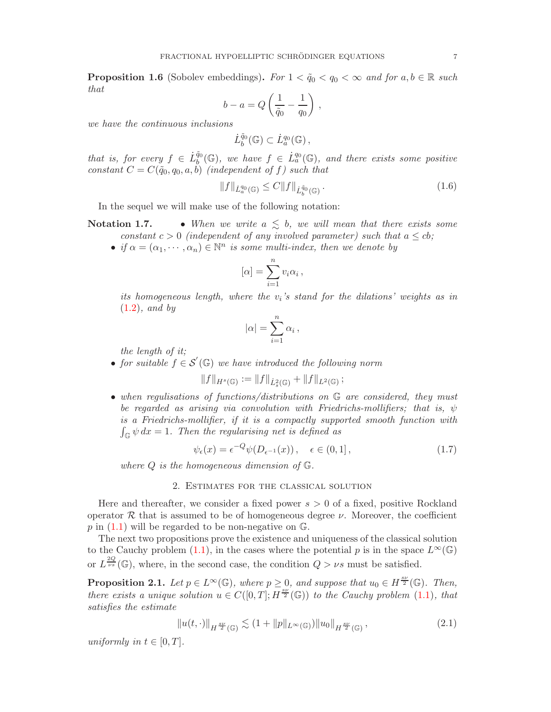**Proposition 1.6** (Sobolev embeddings). For  $1 < \tilde{q}_0 < q_0 < \infty$  and for  $a, b \in \mathbb{R}$  such that

$$
b - a = Q\left(\frac{1}{\tilde{q}_0} - \frac{1}{q_0}\right),
$$

we have the continuous inclusions

$$
\dot{L}_b^{\tilde{q}_0}(\mathbb{G})\subset \dot{L}_a^{q_0}(\mathbb{G}),
$$

that is, for every  $f \in \dot{L}_b^{\tilde{q}_0}$  $\tilde{\mathcal{F}}_b^{q_0}(\mathbb{G})$ , we have  $f \in L_a^{q_0}(\mathbb{G})$ , and there exists some positive constant  $C = C(\tilde{q}_0, q_0, a, b)$  (independent of f) such that

<span id="page-6-3"></span>
$$
||f||_{\dot{L}_a^{q_0}(\mathbb{G})} \le C ||f||_{\dot{L}_b^{\tilde{q}_0}(\mathbb{G})}.
$$
\n(1.6)

In the sequel we will make use of the following notation:

**Notation 1.7.** • When we write  $a \leq b$ , we will mean that there exists some constant  $c > 0$  (independent of any involved parameter) such that  $a \leq cb$ ;

• if  $\alpha = (\alpha_1, \dots, \alpha_n) \in \mathbb{N}^n$  is some multi-index, then we denote by

$$
[\alpha] = \sum_{i=1}^{n} v_i \alpha_i ,
$$

its homogeneous length, where the  $v_i$ 's stand for the dilations' weights as in  $(1.2)$ , and by

$$
|\alpha| = \sum_{i=1}^n \alpha_i \,,
$$

the length of it;

• for suitable  $f \in \mathcal{S}'(\mathbb{G})$  we have introduced the following norm

$$
||f||_{H^s(\mathbb{G})} := ||f||_{\dot{L}^2_s(\mathbb{G})} + ||f||_{L^2(\mathbb{G})};
$$

• when regulisations of functions/distributions on G are considered, they must be regarded as arising via convolution with Friedrichs-mollifiers; that is,  $\psi$ is a Friedrichs-mollifier, if it is a compactly supported smooth function with  $\int_{\mathbb{G}} \psi \, dx = 1$ . Then the regularising net is defined as

<span id="page-6-4"></span>
$$
\psi_{\epsilon}(x) = \epsilon^{-Q} \psi(D_{\epsilon^{-1}}(x)), \quad \epsilon \in (0, 1], \tag{1.7}
$$

where  $Q$  is the homogeneous dimension of  $\mathbb{G}$ .

#### 2. Estimates for the classical solution

<span id="page-6-0"></span>Here and thereafter, we consider a fixed power  $s > 0$  of a fixed, positive Rockland operator  $\mathcal R$  that is assumed to be of homogeneous degree  $\nu$ . Moreover, the coefficient  $p$  in  $(1.1)$  will be regarded to be non-negative on  $\mathbb{G}$ .

The next two propositions prove the existence and uniqueness of the classical solution to the Cauchy problem [\(1.1\)](#page-0-1), in the cases where the potential p is in the space  $L^{\infty}(\mathbb{G})$ or  $L^{\frac{2Q}{\nu s}}(\mathbb{G})$ , where, in the second case, the condition  $Q > \nu s$  must be satisfied.

<span id="page-6-2"></span>**Proposition 2.1.** Let  $p \in L^{\infty}(\mathbb{G})$ , where  $p \geq 0$ , and suppose that  $u_0 \in H^{\frac{sv}{2}}(\mathbb{G})$ . Then, there exists a unique solution  $u \in C([0, T]; H^{\frac{sv}{2}}(\mathbb{G}))$  to the Cauchy problem  $(1.1)$ , that satisfies the estimate

<span id="page-6-1"></span>
$$
||u(t, \cdot)||_{H^{\frac{sy}{2}}(\mathbb{G})} \lesssim (1 + ||p||_{L^{\infty}(\mathbb{G})}) ||u_0||_{H^{\frac{sy}{2}}(\mathbb{G})},
$$
\n(2.1)

uniformly in  $t \in [0, T]$ .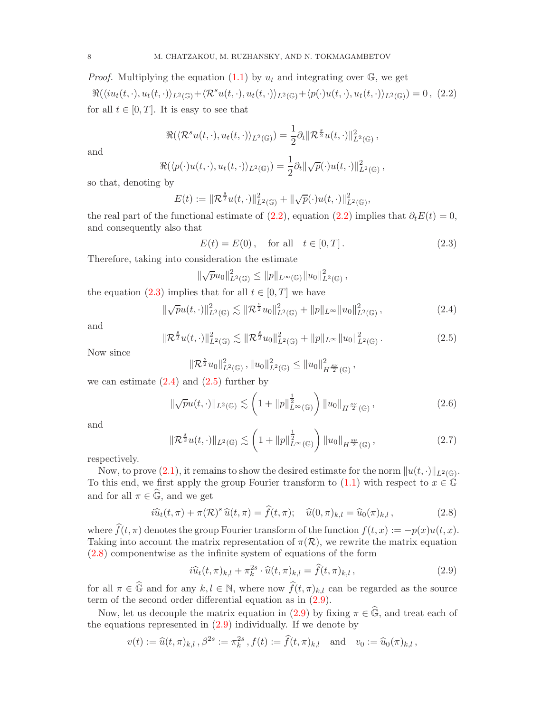*Proof.* Multiplying the equation  $(1.1)$  by  $u_t$  and integrating over  $\mathbb{G}$ , we get

<span id="page-7-0"></span> $\Re(\langle i u_t(t, \cdot), u_t(t, \cdot) \rangle_{L^2(\mathbb{G})} + \langle \mathcal{R}^s u(t, \cdot), u_t(t, \cdot) \rangle_{L^2(\mathbb{G})} + \langle p(\cdot) u(t, \cdot), u_t(t, \cdot) \rangle_{L^2(\mathbb{G})}) = 0$ , (2.2) for all  $t \in [0, T]$ . It is easy to see that

$$
\Re(\langle \mathcal{R}^s u(t,\cdot),u_t(t,\cdot)\rangle_{L^2(\mathbb{G})})=\frac{1}{2}\partial_t \|\mathcal{R}^{\frac{s}{2}} u(t,\cdot)\|_{L^2(\mathbb{G})}^2,
$$

and

$$
\Re(\langle p(\cdot)u(t,\cdot),u_t(t,\cdot)\rangle_{L^2(\mathbb{G})})=\frac{1}{2}\partial_t\|\sqrt{p}(\cdot)u(t,\cdot)\|_{L^2(\mathbb{G})}^2,
$$

so that, denoting by

$$
E(t) := \|\mathcal{R}^{\frac{s}{2}}u(t,\cdot)\|_{L^2(\mathbb{G})}^2 + \|\sqrt{p}(\cdot)u(t,\cdot)\|_{L^2(\mathbb{G})}^2,
$$

the real part of the functional estimate of [\(2.2\)](#page-7-0), equation (2.2) implies that  $\partial_t E(t) = 0$ , and consequently also that

<span id="page-7-1"></span>
$$
E(t) = E(0), \text{ for all } t \in [0, T].
$$
 (2.3)

Therefore, taking into consideration the estimate

$$
\|\sqrt{p}u_0\|_{L^2(\mathbb{G})}^2 \leq \|p\|_{L^{\infty}(\mathbb{G})} \|u_0\|_{L^2(\mathbb{G})}^2,
$$

the equation [\(2.3\)](#page-7-1) implies that for all  $t \in [0, T]$  we have

<span id="page-7-2"></span>
$$
\|\sqrt{p}u(t,\cdot)\|_{L^{2}(\mathbb{G})}^{2} \lesssim \|\mathcal{R}^{\frac{s}{2}}u_{0}\|_{L^{2}(\mathbb{G})}^{2} + \|p\|_{L^{\infty}}\|u_{0}\|_{L^{2}(\mathbb{G})}^{2}, \qquad (2.4)
$$

and

$$
\mathcal{R}^{\frac{s}{2}}u(t,\cdot)\|_{L^{2}(\mathbb{G})}^{2} \lesssim \|\mathcal{R}^{\frac{s}{2}}u_{0}\|_{L^{2}(\mathbb{G})}^{2} + \|p\|_{L^{\infty}}\|u_{0}\|_{L^{2}(\mathbb{G})}^{2}.
$$
\n(2.5)

Now since

$$
\|\mathcal{R}^{\frac{s}{2}}u_0\|_{L^2(\mathbb{G})}^2, \|u_0\|_{L^2(\mathbb{G})}^2 \leq \|u_0\|_{H^{\frac{s\nu}{2}}(\mathbb{G})}^2,
$$

we can estimate  $(2.4)$  and  $(2.5)$  further by

<span id="page-7-3"></span> $\Vert$ 

<span id="page-7-6"></span>
$$
\|\sqrt{p}u(t,\cdot)\|_{L^{2}(\mathbb{G})}\lesssim\left(1+\|p\|_{L^{\infty}(\mathbb{G})}^{\frac{1}{2}}\right)\|u_{0}\|_{H^{\frac{8\nu}{2}}(\mathbb{G})},\tag{2.6}
$$

and

<span id="page-7-7"></span>
$$
\|\mathcal{R}^{\frac{s}{2}}u(t,\cdot)\|_{L^{2}(\mathbb{G})}\lesssim\left(1+\|p\|_{L^{\infty}(\mathbb{G})}^{\frac{1}{2}}\right)\|u_{0}\|_{H^{\frac{sp}{2}}(\mathbb{G})},\tag{2.7}
$$

respectively.

Now, to prove  $(2.1)$ , it remains to show the desired estimate for the norm  $\|u(t, \cdot)\|_{L^2(\mathbb{G})}$ . To this end, we first apply the group Fourier transform to  $(1.1)$  with respect to  $x \in \mathbb{G}$ and for all  $\pi \in \widehat{\mathbb{G}}$ , and we get

<span id="page-7-4"></span>
$$
i\widehat{u}_t(t,\pi) + \pi(\mathcal{R})^s \widehat{u}(t,\pi) = \widehat{f}(t,\pi); \quad \widehat{u}(0,\pi)_{k,l} = \widehat{u}_0(\pi)_{k,l},
$$
\n(2.8)

where  $\widehat{f}(t, \pi)$  denotes the group Fourier transform of the function  $f(t, x) := -p(x)u(t, x)$ . Taking into account the matrix representation of  $\pi(\mathcal{R})$ , we rewrite the matrix equation [\(2.8\)](#page-7-4) componentwise as the infinite system of equations of the form

<span id="page-7-5"></span>
$$
i\widehat{u}_t(t,\pi)_{k,l} + \pi_k^{2s} \cdot \widehat{u}(t,\pi)_{k,l} = \widehat{f}(t,\pi)_{k,l},
$$
\n(2.9)

for all  $\pi \in \widehat{\mathbb{G}}$  and for any  $k, l \in \mathbb{N}$ , where now  $\widehat{f}(t, \pi)_{k,l}$  can be regarded as the source term of the second order differential equation as in [\(2.9\)](#page-7-5).

Now, let us decouple the matrix equation in [\(2.9\)](#page-7-5) by fixing  $\pi \in \widehat{\mathbb{G}}$ , and treat each of the equations represented in  $(2.9)$  individually. If we denote by

$$
v(t) := \widehat{u}(t, \pi)_{k,l}, \beta^{2s} := \pi_k^{2s}, f(t) := \widehat{f}(t, \pi)_{k,l} \text{ and } v_0 := \widehat{u}_0(\pi)_{k,l},
$$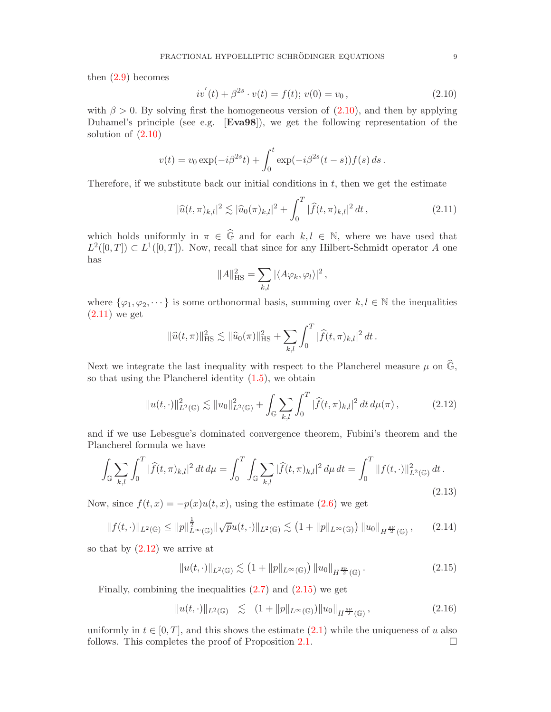then  $(2.9)$  becomes

<span id="page-8-1"></span>
$$
iv'(t) + \beta^{2s} \cdot v(t) = f(t); v(0) = v_0,
$$
\n(2.10)

with  $\beta > 0$ . By solving first the homogeneous version of  $(2.10)$ , and then by applying Duhamel's principle (see e.g. [Eva98]), we get the following representation of the solution of [\(2.10\)](#page-8-1)

$$
v(t) = v_0 \exp(-i\beta^{2s}t) + \int_0^t \exp(-i\beta^{2s}(t-s))f(s) ds.
$$

Therefore, if we substitute back our initial conditions in  $t$ , then we get the estimate

<span id="page-8-2"></span>
$$
|\widehat{u}(t,\pi)_{k,l}|^2 \lesssim |\widehat{u}_0(\pi)_{k,l}|^2 + \int_0^T |\widehat{f}(t,\pi)_{k,l}|^2 dt,
$$
\n(2.11)

which holds uniformly in  $\pi \in \widehat{\mathbb{G}}$  and for each  $k, l \in \mathbb{N}$ , where we have used that  $L^2([0,T]) \subset L^1([0,T])$ . Now, recall that since for any Hilbert-Schmidt operator A one has

$$
||A||_{\text{HS}}^2 = \sum_{k,l} |\langle A\varphi_k, \varphi_l \rangle|^2 \,,
$$

where  $\{\varphi_1, \varphi_2, \dots\}$  is some orthonormal basis, summing over  $k, l \in \mathbb{N}$  the inequalities  $(2.11)$  we get

$$
\|\widehat{u}(t,\pi)\|_{\text{HS}}^2 \lesssim \|\widehat{u}_0(\pi)\|_{\text{HS}}^2 + \sum_{k,l} \int_0^T |\widehat{f}(t,\pi)_{k,l}|^2 dt.
$$

Next we integrate the last inequality with respect to the Plancherel measure  $\mu$  on  $\widehat{\mathbb{G}}$ , so that using the Plancherel identity [\(1.5\)](#page-5-1), we obtain

<span id="page-8-3"></span>
$$
||u(t, \cdot)||_{L^{2}(\mathbb{G})}^{2} \lesssim ||u_{0}||_{L^{2}(\mathbb{G})}^{2} + \int_{\mathbb{G}} \sum_{k,l} \int_{0}^{T} |\widehat{f}(t, \pi)_{k,l}|^{2} dt d\mu(\pi), \qquad (2.12)
$$

and if we use Lebesgue's dominated convergence theorem, Fubini's theorem and the Plancherel formula we have

$$
\int_{\mathbb{G}} \sum_{k,l} \int_0^T |\widehat{f}(t,\pi)_{k,l}|^2 dt d\mu = \int_0^T \int_{\mathbb{G}} \sum_{k,l} |\widehat{f}(t,\pi)_{k,l}|^2 d\mu dt = \int_0^T \|f(t,\cdot)\|_{L^2(\mathbb{G})}^2 dt.
$$
\n(2.13)

Now, since  $f(t, x) = -p(x)u(t, x)$ , using the estimate [\(2.6\)](#page-7-6) we get

$$
||f(t, \cdot)||_{L^{2}(\mathbb{G})} \leq ||p||_{L^{\infty}(\mathbb{G})}^{\frac{1}{2}} ||\sqrt{p}u(t, \cdot)||_{L^{2}(\mathbb{G})} \lesssim (1 + ||p||_{L^{\infty}(\mathbb{G})}) ||u_{0}||_{H^{\frac{sp}{2}}(\mathbb{G})}, \qquad (2.14)
$$

so that by  $(2.12)$  we arrive at

<span id="page-8-4"></span>
$$
||u(t, \cdot)||_{L^{2}(\mathbb{G})} \lesssim \left(1 + ||p||_{L^{\infty}(\mathbb{G})}\right) ||u_{0}||_{H^{\frac{sp}{2}}(\mathbb{G})}.
$$
\n(2.15)

Finally, combining the inequalities  $(2.7)$  and  $(2.15)$  we get

$$
||u(t, \cdot)||_{L^{2}(\mathbb{G})} \leq (1 + ||p||_{L^{\infty}(\mathbb{G})}) ||u_{0}||_{H^{\frac{8\nu}{2}}(\mathbb{G})}, \qquad (2.16)
$$

<span id="page-8-0"></span>uniformly in  $t \in [0, T]$ , and this shows the estimate  $(2.1)$  while the uniqueness of u also follows. This completes the proof of Proposition 2.1. follows. This completes the proof of Proposition [2.1.](#page-6-2)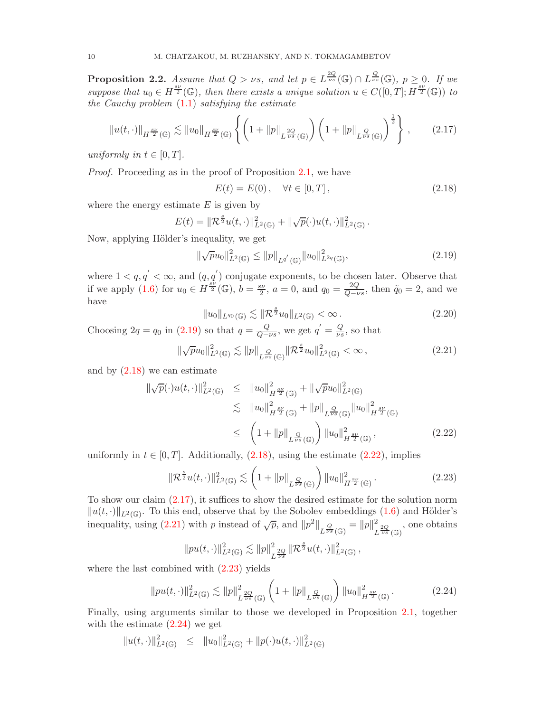**Proposition 2.2.** Assume that  $Q > \nu s$ , and let  $p \in L^{\frac{2Q}{\nu s}}(\mathbb{G}) \cap L^{\frac{Q}{\nu s}}(\mathbb{G}), p \geq 0$ . If we suppose that  $u_0 \in H^{\frac{sv}{2}}(\mathbb{G})$ , then there exists a unique solution  $u \in C([0,T]; H^{\frac{sv}{2}}(\mathbb{G}))$  to the Cauchy problem  $(1.1)$  satisfying the estimate

<span id="page-9-3"></span>
$$
\|u(t,\cdot)\|_{H^{\frac{8\nu}{2}}(\mathbb{G})} \lesssim \|u_0\|_{H^{\frac{8\nu}{2}}(\mathbb{G})} \left\{ \left(1 + \|p\|_{L^{\frac{2Q}{\nu s}}(\mathbb{G})}\right) \left(1 + \|p\|_{L^{\frac{Q}{\nu s}}(\mathbb{G})}\right)^{\frac{1}{2}} \right\},\qquad(2.17)
$$

uniformly in  $t \in [0, T]$ .

Proof. Proceeding as in the proof of Proposition [2.1,](#page-6-2) we have

<span id="page-9-1"></span>
$$
E(t) = E(0), \quad \forall t \in [0, T], \tag{2.18}
$$

where the energy estimate  $E$  is given by

$$
E(t) = \|\mathcal{R}^{\frac{s}{2}}u(t,\cdot)\|_{L^2(\mathbb{G})}^2 + \|\sqrt{p}(\cdot)u(t,\cdot)\|_{L^2(\mathbb{G})}^2.
$$

Now, applying Hölder's inequality, we get

<span id="page-9-0"></span>
$$
\|\sqrt{p}u_0\|_{L^2(\mathbb{G})}^2 \le \|p\|_{L^{q'}(\mathbb{G})} \|u_0\|_{L^{2q}(\mathbb{G})}^2,
$$
\n(2.19)

where  $1 < q, q' < \infty$ , and  $(q, q')$  conjugate exponents, to be chosen later. Observe that if we apply [\(1.6\)](#page-6-3) for  $u_0 \in H^{\frac{s\tilde{\nu}}{2}}(\mathbb{G}), b = \frac{s\nu}{2}, a = 0$ , and  $q_0 = \frac{2Q}{Q-\nu s}$ , then  $\tilde{q}_0 = 2$ , and we have

$$
||u_0||_{L^{q_0}(\mathbb{G})} \lesssim ||\mathcal{R}^{\frac{s}{2}}u_0||_{L^2(\mathbb{G})} < \infty.
$$
\n(2.20)

Choosing  $2q = q_0$  in [\(2.19\)](#page-9-0) so that  $q = \frac{Q}{Q - \nu s}$ , we get  $q' = \frac{Q}{\nu s}$  $\frac{Q}{\nu s}$ , so that

<span id="page-9-4"></span>
$$
\|\sqrt{p}u_0\|_{L^2(\mathbb{G})}^2 \lesssim \|p\|_{L^{\frac{Q}{\nu s}}(\mathbb{G})} \|\mathcal{R}^{\frac{s}{2}}u_0\|_{L^2(\mathbb{G})}^2 < \infty ,\qquad (2.21)
$$

and by  $(2.18)$  we can estimate

<span id="page-9-2"></span>
$$
\|\sqrt{p}(\cdot)u(t,\cdot)\|_{L^{2}(\mathbb{G})}^{2} \leq \|u_{0}\|_{H^{\frac{sy}{2}}(\mathbb{G})}^{2} + \|\sqrt{p}u_{0}\|_{L^{2}(\mathbb{G})}^{2}
$$
  

$$
\lesssim \|u_{0}\|_{H^{\frac{sy}{2}}(\mathbb{G})}^{2} + \|p\|_{L^{\frac{Q}{\nu s}}(\mathbb{G})} \|u_{0}\|_{H^{\frac{sy}{2}}(\mathbb{G})}^{2}
$$
  

$$
\leq \left(1 + \|p\|_{L^{\frac{Q}{\nu s}}(\mathbb{G})}\right) \|u_{0}\|_{H^{\frac{sy}{2}}(\mathbb{G})}^{2}, \qquad (2.22)
$$

uniformly in  $t \in [0, T]$ . Additionally,  $(2.18)$ , using the estimate  $(2.22)$ , implies

<span id="page-9-5"></span>
$$
\|\mathcal{R}^{\frac{s}{2}}u(t,\cdot)\|_{L^2(\mathbb{G})}^2 \lesssim \left(1+\|p\|_{L^{\frac{Q}{\nu s}}(\mathbb{G})}\right) \|u_0\|_{H^{\frac{8\nu}{2}}(\mathbb{G})}^2.
$$
 (2.23)

To show our claim [\(2.17\)](#page-9-3), it suffices to show the desired estimate for the solution norm  $||u(t, \cdot)||_{L^2(\mathbb{G})}$ . To this end, observe that by the Sobolev embeddings [\(1.6\)](#page-6-3) and Hölder's inequality, using [\(2.21\)](#page-9-4) with p instead of  $\sqrt{p}$ , and  $||p^2||_{L^{\frac{Q}{\nu s}}(\mathbb{G})} = ||p||_{L^{\frac{Q}{\nu s}}}$  $\frac{2}{L^{\frac{2Q}{\nu s}}(\mathbb{G})}$ , one obtains

$$
||pu(t,\cdot)||_{L^2(\mathbb{G})}^2 \lesssim ||p||_{L^{\frac{2Q}{\nu s}}}^2 ||\mathcal{R}^{\frac{s}{2}}u(t,\cdot)||_{L^2(\mathbb{G})}^2,
$$

where the last combined with [\(2.23\)](#page-9-5) yields

<span id="page-9-6"></span>
$$
||pu(t, \cdot)||_{L^{2}(\mathbb{G})}^{2} \lesssim ||p||_{L^{\frac{2Q}{\nu s}}(\mathbb{G})}^{2} \left(1 + ||p||_{L^{\frac{Q}{\nu s}}(\mathbb{G})}\right) ||u_{0}||_{H^{\frac{8\nu}{2}}(\mathbb{G})}^{2}.
$$
 (2.24)

Finally, using arguments similar to those we developed in Proposition [2.1,](#page-6-2) together with the estimate  $(2.24)$  we get

$$
||u(t, \cdot)||_{L^{2}(\mathbb{G})}^{2} \leq ||u_{0}||_{L^{2}(\mathbb{G})}^{2} + ||p(\cdot)u(t, \cdot)||_{L^{2}(\mathbb{G})}^{2}
$$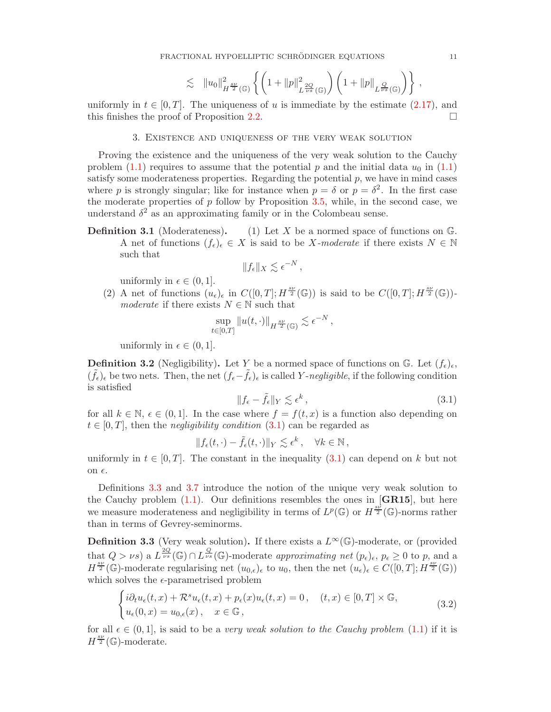$$
\lesssim \|u_0\|_{H^{\frac{sp}{2}}(\mathbb{G})}^2 \left\{ \left(1 + \|p\|_{L^{\frac{2Q}{ps}}(\mathbb{G})}^2 \right) \left(1 + \|p\|_{L^{\frac{Q}{ps}}(\mathbb{G})} \right) \right\},
$$

<span id="page-10-0"></span>uniformly in  $t \in [0, T]$ . The uniqueness of u is immediate by the estimate [\(2.17\)](#page-9-3), and this finishes the proof of Proposition 2.2 this finishes the proof of Proposition [2.2.](#page-8-0)

#### 3. Existence and uniqueness of the very weak solution

Proving the existence and the uniqueness of the very weak solution to the Cauchy problem [\(1.1\)](#page-0-1) requires to assume that the potential p and the initial data  $u_0$  in (1.1) satisfy some moderateness properties. Regarding the potential  $p$ , we have in mind cases where p is strongly singular; like for instance when  $p = \delta$  or  $p = \delta^2$ . In the first case the moderate properties of  $p$  follow by Proposition [3.5,](#page-11-0) while, in the second case, we understand  $\delta^2$  as an approximating family or in the Colombeau sense.

**Definition 3.1** (Moderateness). (1) Let X be a normed space of functions on  $\mathbb{G}$ . A net of functions  $(f_{\epsilon})_{\epsilon} \in X$  is said to be X-moderate if there exists  $N \in \mathbb{N}$ such that

$$
||f_{\epsilon}||_X \lesssim \epsilon^{-N},
$$

uniformly in  $\epsilon \in (0, 1]$ .

(2) A net of functions  $(u_{\epsilon})_{\epsilon}$  in  $C([0,T];H^{\frac{sv}{2}}(\mathbb{G}))$  is said to be  $C([0,T];H^{\frac{sv}{2}}(\mathbb{G}))$ moderate if there exists  $N \in \mathbb{N}$  such that

$$
\sup_{t\in[0,T]}\|u(t,\cdot)\|_{H^{\frac{sp}{2}}(\mathbb{G})}\lesssim \epsilon^{-N},
$$

uniformly in  $\epsilon \in (0,1]$ .

**Definition 3.2** (Negligibility). Let Y be a normed space of functions on G. Let  $(f_{\epsilon})_{\epsilon}$ ,  $(\tilde{f}_{\epsilon})_{\epsilon}$  be two nets. Then, the net  $(f_{\epsilon}-\tilde{f}_{\epsilon})_{\epsilon}$  is called Y-negligible, if the following condition is satisfied

<span id="page-10-1"></span>
$$
||f_{\epsilon} - \tilde{f}_{\epsilon}||_Y \lesssim \epsilon^k , \qquad (3.1)
$$

for all  $k \in \mathbb{N}$ ,  $\epsilon \in (0, 1]$ . In the case where  $f = f(t, x)$  is a function also depending on  $t \in [0, T]$ , then the *negligibility condition* [\(3.1\)](#page-10-1) can be regarded as

$$
|| f_{\epsilon}(t,\cdot) - \tilde{f}_{\epsilon}(t,\cdot)||_Y \lesssim \epsilon^k , \quad \forall k \in \mathbb{N},
$$

uniformly in  $t \in [0, T]$ . The constant in the inequality [\(3.1\)](#page-10-1) can depend on k but not on  $\epsilon$ .

Definitions [3.3](#page-10-2) and [3.7](#page-11-1) introduce the notion of the unique very weak solution to the Cauchy problem  $(1.1)$ . Our definitions resembles the ones in [GR15], but here we measure moderateness and negligibility in terms of  $L^p(\mathbb{G})$  or  $H^{\frac{sb'}{2}}(\mathbb{G})$ -norms rather than in terms of Gevrey-seminorms.

<span id="page-10-2"></span>**Definition 3.3** (Very weak solution). If there exists a  $L^{\infty}(\mathbb{G})$ -moderate, or (provided that  $Q > \nu s$ ) a  $L^{\frac{2Q}{\nu s}}(\mathbb{G}) \cap L^{\frac{Q}{\nu s}}(\mathbb{G})$ -moderate approximating net  $(p_{\epsilon})_{\epsilon}, p_{\epsilon} \geq 0$  to p, and a  $H^{\frac{sy}{2}}(\mathbb{G})$ -moderate regularising net  $(u_{0,\epsilon})_\epsilon$  to  $u_0$ , then the net  $(u_\epsilon)_\epsilon \in C([0,T]; H^{\frac{sy}{2}}(\mathbb{G}))$ which solves the  $\epsilon$ -parametrised problem

$$
\begin{cases}\ni\partial_t u_{\epsilon}(t,x) + \mathcal{R}^s u_{\epsilon}(t,x) + p_{\epsilon}(x)u_{\epsilon}(t,x) = 0, & (t,x) \in [0,T] \times \mathbb{G}, \\
u_{\epsilon}(0,x) = u_{0,\epsilon}(x), & x \in \mathbb{G},\n\end{cases}
$$
\n(3.2)

<span id="page-10-3"></span>for all  $\epsilon \in (0,1]$ , is said to be a very weak solution to the Cauchy problem  $(1.1)$  if it is  $H^{\frac{s\nu}{2}}(\mathbb{G})$ -moderate.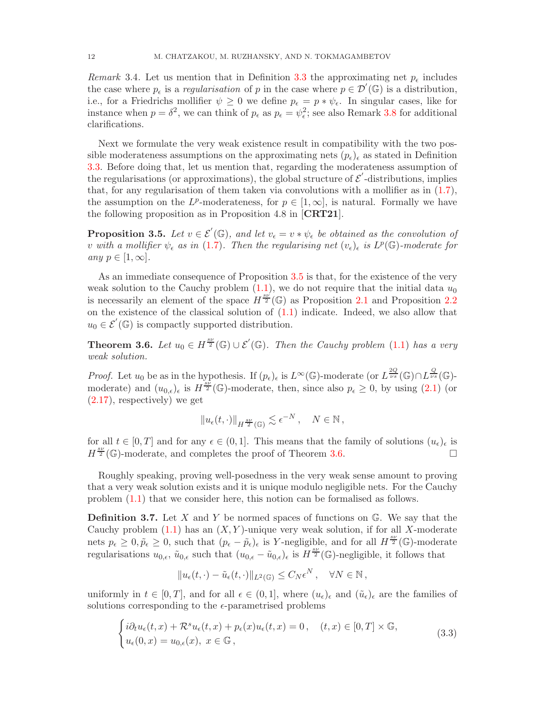Remark 3.4. Let us mention that in Definition [3.3](#page-10-2) the approximating net  $p_{\epsilon}$  includes the case where  $p_{\epsilon}$  is a *regularisation* of p in the case where  $p \in \mathcal{D}'(\mathbb{G})$  is a distribution, i.e., for a Friedrichs mollifier  $\psi \geq 0$  we define  $p_{\epsilon} = p * \psi_{\epsilon}$ . In singular cases, like for instance when  $p = \delta^2$ , we can think of  $p_{\epsilon}$  as  $p_{\epsilon} = \psi_{\epsilon}^2$ ; see also Remark [3.8](#page-12-0) for additional clarifications.

Next we formulate the very weak existence result in compatibility with the two possible moderateness assumptions on the approximating nets  $(p_{\epsilon})_{\epsilon}$  as stated in Definition [3.3.](#page-10-2) Before doing that, let us mention that, regarding the moderateness assumption of the regularisations (or approximations), the global structure of  $\mathcal{E}'$ -distributions, implies that, for any regularisation of them taken via convolutions with a mollifier as in  $(1.7)$ , the assumption on the L<sup>p</sup>-moderateness, for  $p \in [1,\infty]$ , is natural. Formally we have the following proposition as in Proposition 4.8 in [CRT21].

<span id="page-11-0"></span>**Proposition 3.5.** Let  $v \in \mathcal{E}'(\mathbb{G})$ , and let  $v_{\epsilon} = v * \psi_{\epsilon}$  be obtained as the convolution of v with a mollifier  $\psi_{\epsilon}$  as in [\(1.7\)](#page-6-4). Then the regularising net  $(v_{\epsilon})_{\epsilon}$  is  $L^p(\mathbb{G})$ -moderate for any  $p \in [1,\infty]$ .

As an immediate consequence of Proposition [3.5](#page-11-0) is that, for the existence of the very weak solution to the Cauchy problem  $(1.1)$ , we do not require that the initial data  $u_0$ is necessarily an element of the space  $H^{\frac{sv'}{2}}(\mathbb{G})$  as Proposition [2.1](#page-6-2) and Proposition [2.2](#page-8-0) on the existence of the classical solution of [\(1.1\)](#page-0-1) indicate. Indeed, we also allow that  $u_0 \in \mathcal{E}'(\mathbb{G})$  is compactly supported distribution.

<span id="page-11-2"></span>**Theorem 3.6.** Let  $u_0 \in H^{\frac{sv}{2}}(\mathbb{G}) \cup \mathcal{E}'(\mathbb{G})$ . Then the Cauchy problem [\(1.1\)](#page-0-1) has a very weak solution.

*Proof.* Let  $u_0$  be as in the hypothesis. If  $(p_\epsilon)_\epsilon$  is  $L^\infty(\mathbb{G})$ -moderate (or  $L^{\frac{2Q}{\nu s}}(\mathbb{G}) \cap L^{\frac{Q}{\nu s}}(\mathbb{G})$ moderate) and  $(u_{0,\epsilon})_\epsilon$  is  $H^{\frac{s\bar{\nu}}{2}}(\mathbb{G})$ -moderate, then, since also  $p_\epsilon \geq 0$ , by using  $(2.1)$  (or [\(2.17\)](#page-9-3), respectively) we get

$$
\|u_\epsilon(t,\cdot)\|_{H^{\frac{8\nu}{2}}(\mathbb{G})}\lesssim \epsilon^{-N}\,,\quad N\in\mathbb{N}\,,
$$

for all  $t \in [0, T]$  and for any  $\epsilon \in (0, 1]$ . This means that the family of solutions  $(u_{\epsilon})_{\epsilon}$  is  $H^{\frac{sv}{2}}(\mathbb{G})$ -moderate, and completes the proof of Theorem 3.6.  $H^{\frac{sv}{2}}(\mathbb{G})$ -moderate, and completes the proof of Theorem [3.6.](#page-11-2)

Roughly speaking, proving well-posedness in the very weak sense amount to proving that a very weak solution exists and it is unique modulo negligible nets. For the Cauchy problem [\(1.1\)](#page-0-1) that we consider here, this notion can be formalised as follows.

<span id="page-11-1"></span>**Definition 3.7.** Let X and Y be normed spaces of functions on  $\mathbb{G}$ . We say that the Cauchy problem  $(1.1)$  has an  $(X, Y)$ -unique very weak solution, if for all X-moderate nets  $p_{\epsilon} \geq 0, \tilde{p}_{\epsilon} \geq 0$ , such that  $(p_{\epsilon} - \tilde{p}_{\epsilon})_{\epsilon}$  is Y-negligible, and for all  $H^{\frac{8\nu}{2}}(\mathbb{G})$ -moderate regularisations  $u_{0,\epsilon}$ ,  $\tilde{u}_{0,\epsilon}$  such that  $(u_{0,\epsilon} - \tilde{u}_{0,\epsilon})_\epsilon$  is  $H^{\frac{8\nu}{2}}(\mathbb{G})$ -negligible, it follows that

$$
||u_{\epsilon}(t,\cdot)-\tilde{u}_{\epsilon}(t,\cdot)||_{L^{2}(\mathbb{G})}\leq C_{N}\epsilon^{N}, \quad \forall N \in \mathbb{N},
$$

uniformly in  $t \in [0, T]$ , and for all  $\epsilon \in (0, 1]$ , where  $(u_{\epsilon})_{\epsilon}$  and  $(\tilde{u}_{\epsilon})_{\epsilon}$  are the families of solutions corresponding to the  $\epsilon$ -parametrised problems

<span id="page-11-3"></span>
$$
\begin{cases}\ni\partial_t u_{\epsilon}(t,x) + \mathcal{R}^s u_{\epsilon}(t,x) + p_{\epsilon}(x)u_{\epsilon}(t,x) = 0, & (t,x) \in [0,T] \times \mathbb{G}, \\
u_{\epsilon}(0,x) = u_{0,\epsilon}(x), & x \in \mathbb{G},\n\end{cases}
$$
\n(3.3)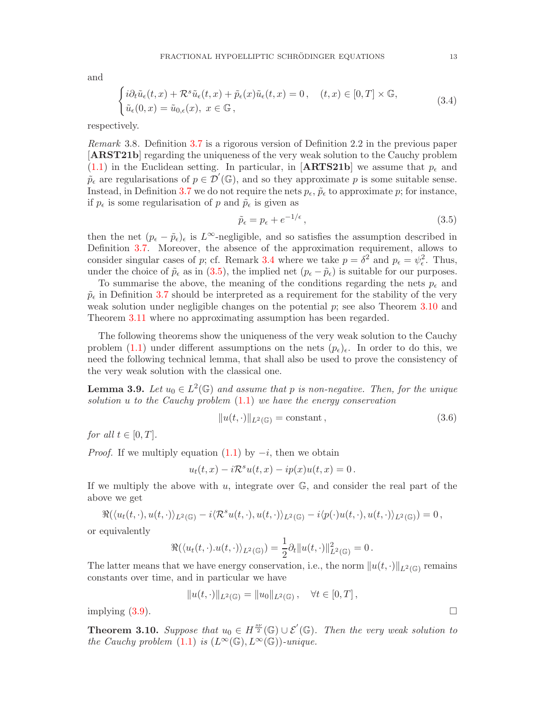#### FRACTIONAL HYPOELLIPTIC SCHRÖDINGER EQUATIONS 13

and

<span id="page-12-4"></span>
$$
\begin{cases}\ni\partial_t\tilde{u}_{\epsilon}(t,x)+\mathcal{R}^s\tilde{u}_{\epsilon}(t,x)+\tilde{p}_{\epsilon}(x)\tilde{u}_{\epsilon}(t,x)=0, & (t,x)\in[0,T]\times\mathbb{G},\\ \tilde{u}_{\epsilon}(0,x)=\tilde{u}_{0,\epsilon}(x),\ x\in\mathbb{G}\,,\end{cases}
$$
\n(3.4)

<span id="page-12-0"></span>respectively.

Remark 3.8. Definition [3.7](#page-11-1) is a rigorous version of Definition 2.2 in the previous paper [ARST21b] regarding the uniqueness of the very weak solution to the Cauchy problem [\(1.1\)](#page-0-1) in the Euclidean setting. In particular, in [ARTS21b] we assume that  $p_{\epsilon}$  and  $\tilde{p}_{\epsilon}$  are regularisations of  $p \in \mathcal{D}'(\mathbb{G})$ , and so they approximate p is some suitable sense. Instead, in Definition [3.7](#page-11-1) we do not require the nets  $p_{\epsilon}$ ,  $\tilde{p}_{\epsilon}$  to approximate p; for instance, if  $p_{\epsilon}$  is some regularisation of p and  $\tilde{p}_{\epsilon}$  is given as

<span id="page-12-1"></span>
$$
\tilde{p}_{\epsilon} = p_{\epsilon} + e^{-1/\epsilon},\tag{3.5}
$$

then the net  $(p_{\epsilon} - \tilde{p}_{\epsilon})_{\epsilon}$  is  $L^{\infty}$ -negligible, and so satisfies the assumption described in Definition [3.7.](#page-11-1) Moreover, the absence of the approximation requirement, allows to consider singular cases of p; cf. Remark [3.4](#page-10-3) where we take  $p = \delta^2$  and  $p_{\epsilon} = \psi_{\epsilon}^2$ . Thus, under the choice of  $\tilde{p}_{\epsilon}$  as in [\(3.5\)](#page-12-1), the implied net  $(p_{\epsilon} - \tilde{p}_{\epsilon})$  is suitable for our purposes.

To summarise the above, the meaning of the conditions regarding the nets  $p_{\epsilon}$  and  $\tilde{p}_{\epsilon}$  in Definition [3.7](#page-11-1) should be interpreted as a requirement for the stability of the very weak solution under negligible changes on the potential  $p$ ; see also Theorem [3.10](#page-12-2) and Theorem [3.11](#page-14-1) where no approximating assumption has been regarded.

The following theorems show the uniqueness of the very weak solution to the Cauchy problem [\(1.1\)](#page-0-1) under different assumptions on the nets  $(p_\epsilon)_\epsilon$ . In order to do this, we need the following technical lemma, that shall also be used to prove the consistency of the very weak solution with the classical one.

<span id="page-12-3"></span>**Lemma 3.9.** Let  $u_0 \in L^2(\mathbb{G})$  and assume that p is non-negative. Then, for the unique solution  $u$  to the Cauchy problem  $(1.1)$  we have the energy conservation

<span id="page-12-5"></span>
$$
||u(t, \cdot)||_{L^2(\mathbb{G})} = \text{constant},\qquad(3.6)
$$

for all  $t \in [0, T]$ .

*Proof.* If we multiply equation  $(1.1)$  by  $-i$ , then we obtain

$$
u_t(t,x)-i\mathcal{R}^s u(t,x)-ip(x)u(t,x)=0\,.
$$

If we multiply the above with  $u$ , integrate over  $\mathbb{G}$ , and consider the real part of the above we get

$$
\Re(\langle u_t(t,\cdot),u(t,\cdot)\rangle_{L^2(\mathbb{G})}-i\langle\mathcal{R}^su(t,\cdot),u(t,\cdot)\rangle_{L^2(\mathbb{G})}-i\langle p(\cdot)u(t,\cdot),u(t,\cdot)\rangle_{L^2(\mathbb{G})})=0\,,
$$

or equivalently

$$
\Re(\langle u_t(t,\cdot).u(t,\cdot)\rangle_{L^2(\mathbb{G})})=\frac{1}{2}\partial_t||u(t,\cdot)||^2_{L^2(\mathbb{G})}=0.
$$

The latter means that we have energy conservation, i.e., the norm  $||u(t, \cdot)||_{L^2(\mathbb{G})}$  remains constants over time, and in particular we have

$$
||u(t, \cdot)||_{L^2(\mathbb{G})} = ||u_0||_{L^2(\mathbb{G})}, \quad \forall t \in [0, T],
$$

implying  $(3.9)$ .

<span id="page-12-2"></span>**Theorem 3.10.** Suppose that  $u_0 \in H^{\frac{sv}{2}}(\mathbb{G}) \cup \mathcal{E}'(\mathbb{G})$ . Then the very weak solution to the Cauchy problem [\(1.1\)](#page-0-1) is  $(L^{\infty}(\mathbb{G}), L^{\infty}(\mathbb{G}))$ -unique.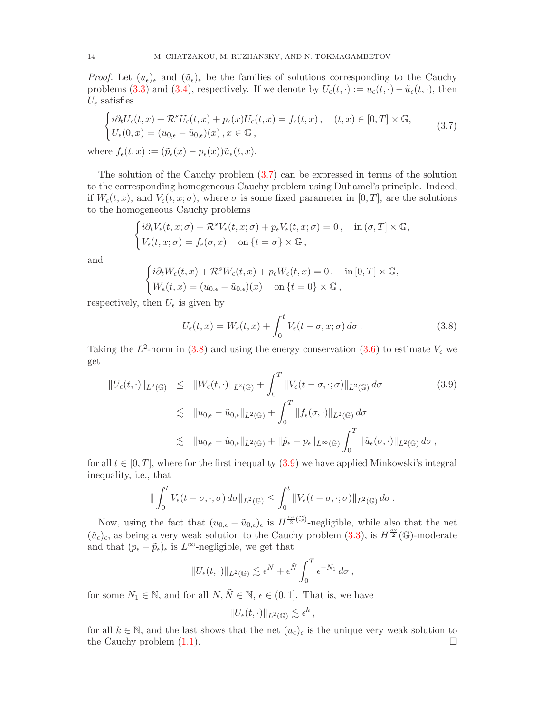*Proof.* Let  $(u_{\epsilon})_{\epsilon}$  and  $(\tilde{u}_{\epsilon})_{\epsilon}$  be the families of solutions corresponding to the Cauchy problems [\(3.3\)](#page-11-3) and [\(3.4\)](#page-12-4), respectively. If we denote by  $U_{\epsilon}(t, \cdot) := u_{\epsilon}(t, \cdot) - \tilde{u}_{\epsilon}(t, \cdot)$ , then  $U_{\epsilon}$  satisfies

<span id="page-13-0"></span>
$$
\begin{cases}\ni\partial_t U_{\epsilon}(t,x) + \mathcal{R}^s U_{\epsilon}(t,x) + p_{\epsilon}(x)U_{\epsilon}(t,x) = f_{\epsilon}(t,x), & (t,x) \in [0,T] \times \mathbb{G}, \\
U_{\epsilon}(0,x) = (u_{0,\epsilon} - \tilde{u}_{0,\epsilon})(x), x \in \mathbb{G},\n\end{cases}
$$
\n(3.7)

where  $f_{\epsilon}(t, x) := (\tilde{p}_{\epsilon}(x) - p_{\epsilon}(x))\tilde{u}_{\epsilon}(t, x).$ 

The solution of the Cauchy problem [\(3.7\)](#page-13-0) can be expressed in terms of the solution to the corresponding homogeneous Cauchy problem using Duhamel's principle. Indeed, if  $W_{\epsilon}(t, x)$ , and  $V_{\epsilon}(t, x; \sigma)$ , where  $\sigma$  is some fixed parameter in [0, T], are the solutions to the homogeneous Cauchy problems

$$
\begin{cases}\ni\partial_t V_{\epsilon}(t,x;\sigma)+\mathcal{R}^s V_{\epsilon}(t,x;\sigma)+p_{\epsilon} V_{\epsilon}(t,x;\sigma)=0\,,&\text{in}\ (\sigma,T]\times\mathbb{G},\\ V_{\epsilon}(t,x;\sigma)=f_{\epsilon}(\sigma,x)&\text{on }\{t=\sigma\}\times\mathbb{G}\,,\end{cases}
$$

and

$$
\begin{cases} i\partial_t W_{\epsilon}(t,x)+\mathcal{R}^s W_{\epsilon}(t,x)+p_{\epsilon}W_{\epsilon}(t,x)=0\,,&\text{in}\left[0,T\right]\times\mathbb{G},\\ W_{\epsilon}(t,x)=(u_{0,\epsilon}-\tilde{u}_{0,\epsilon})(x)&\text{on}\left\{t=0\right\}\times\mathbb{G}\,, \end{cases}
$$

respectively, then  $U_{\epsilon}$  is given by

<span id="page-13-1"></span>
$$
U_{\epsilon}(t,x) = W_{\epsilon}(t,x) + \int_0^t V_{\epsilon}(t-\sigma,x;\sigma) d\sigma.
$$
 (3.8)

Taking the  $L^2$ -norm in [\(3.8\)](#page-13-1) and using the energy conservation [\(3.6\)](#page-12-5) to estimate  $V_{\epsilon}$  we get

<span id="page-13-2"></span>
$$
\|U_{\epsilon}(t,\cdot)\|_{L^{2}(\mathbb{G})} \leq \|W_{\epsilon}(t,\cdot)\|_{L^{2}(\mathbb{G})} + \int_{0}^{T} \|V_{\epsilon}(t-\sigma,\cdot;\sigma)\|_{L^{2}(\mathbb{G})} d\sigma
$$
\n
$$
\lesssim \|u_{0,\epsilon} - \tilde{u}_{0,\epsilon}\|_{L^{2}(\mathbb{G})} + \int_{0}^{T} \|f_{\epsilon}(\sigma,\cdot)\|_{L^{2}(\mathbb{G})} d\sigma
$$
\n
$$
\lesssim \|u_{0,\epsilon} - \tilde{u}_{0,\epsilon}\|_{L^{2}(\mathbb{G})} + \|\tilde{p}_{\epsilon} - p_{\epsilon}\|_{L^{\infty}(\mathbb{G})} \int_{0}^{T} \|\tilde{u}_{\epsilon}(\sigma,\cdot)\|_{L^{2}(\mathbb{G})} d\sigma,
$$
\n(3.9)

for all  $t \in [0, T]$ , where for the first inequality [\(3.9\)](#page-13-2) we have applied Minkowski's integral inequality, i.e., that

$$
\|\int_0^t V_{\epsilon}(t-\sigma,\cdot;\sigma)\,d\sigma\|_{L^2(\mathbb{G})}\leq \int_0^t \|V_{\epsilon}(t-\sigma,\cdot;\sigma)\|_{L^2(\mathbb{G})}\,d\sigma.
$$

Now, using the fact that  $(u_{0,\epsilon} - \tilde{u}_{0,\epsilon})_\epsilon$  is  $H^{\frac{sy}{2}(\mathbb{G})}$ -negligible, while also that the net  $(\tilde{u}_{\epsilon})_{\epsilon}$ , as being a very weak solution to the Cauchy problem [\(3.3\)](#page-11-3), is  $H^{\frac{8\nu}{2}}(\mathbb{G})$ -moderate and that  $(p_{\epsilon} - \tilde{p}_{\epsilon})_{\epsilon}$  is  $L^{\infty}$ -negligible, we get that

$$
||U_{\epsilon}(t,\cdot)||_{L^{2}(\mathbb{G})}\lesssim \epsilon^{N}+\epsilon^{\tilde{N}}\int_{0}^{T}\epsilon^{-N_{1}}d\sigma,
$$

for some  $N_1 \in \mathbb{N}$ , and for all  $N, \tilde{N} \in \mathbb{N}$ ,  $\epsilon \in (0, 1]$ . That is, we have

$$
||U_{\epsilon}(t,\cdot)||_{L^2(\mathbb{G})}\lesssim \epsilon^k\,,
$$

for all  $k \in \mathbb{N}$ , and the last shows that the net  $(u_\epsilon)_\epsilon$  is the unique very weak solution to the Cauchy problem (1.1). the Cauchy problem [\(1.1\)](#page-0-1).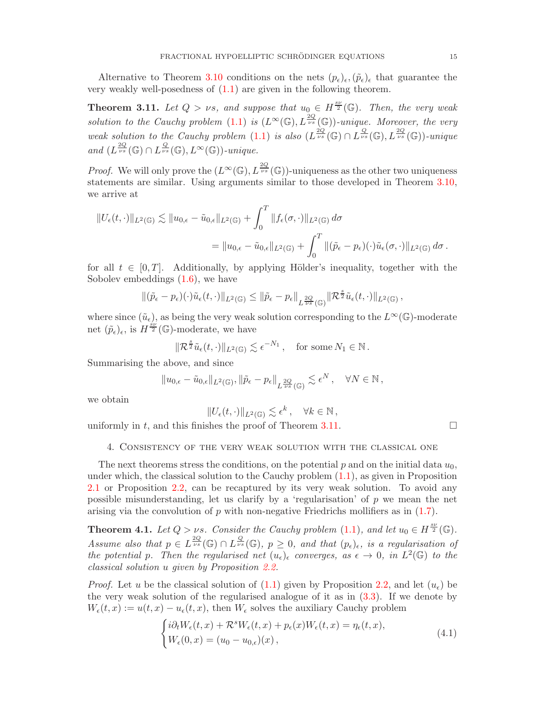<span id="page-14-1"></span>Alternative to Theorem [3.10](#page-12-2) conditions on the nets  $(p_{\epsilon})_{\epsilon},(\tilde{p}_{\epsilon})_{\epsilon}$  that guarantee the very weakly well-posedness of [\(1.1\)](#page-0-1) are given in the following theorem.

**Theorem 3.11.** Let  $Q > \nu s$ , and suppose that  $u_0 \in H^{\frac{sv}{2}}(\mathbb{G})$ . Then, the very weak solution to the Cauchy problem [\(1.1\)](#page-0-1) is  $(L^{\infty}(\mathbb{G}), L^{\frac{2Q}{\nu s}}(\mathbb{G}))$ -unique. Moreover, the very weak solution to the Cauchy problem [\(1.1\)](#page-0-1) is also  $(L^{\frac{2Q}{\nu s}}(\mathbb{G}) \cap L^{\frac{Q}{\nu s}}(\mathbb{G}), L^{\frac{2Q}{\nu s}}(\mathbb{G}))$ -unique and  $(L^{\frac{2Q}{\nu s}}(\mathbb{G}) \cap L^{\frac{Q}{\nu s}}(\mathbb{G}), L^{\infty}(\mathbb{G}))$ -unique.

*Proof.* We will only prove the  $(L^{\infty}(\mathbb{G}), L^{\frac{2Q}{\nu s}}(\mathbb{G}))$ -uniqueness as the other two uniqueness statements are similar. Using arguments similar to those developed in Theorem [3.10,](#page-12-2) we arrive at

$$
||U_{\epsilon}(t,\cdot)||_{L^{2}(\mathbb{G})} \lesssim ||u_{0,\epsilon}-\tilde{u}_{0,\epsilon}||_{L^{2}(\mathbb{G})} + \int_{0}^{T} ||f_{\epsilon}(\sigma,\cdot)||_{L^{2}(\mathbb{G})} d\sigma
$$
  
= 
$$
||u_{0,\epsilon}-\tilde{u}_{0,\epsilon}||_{L^{2}(\mathbb{G})} + \int_{0}^{T} ||(\tilde{p}_{\epsilon}-p_{\epsilon})(\cdot)\tilde{u}_{\epsilon}(\sigma,\cdot)||_{L^{2}(\mathbb{G})} d\sigma.
$$

for all  $t \in [0, T]$ . Additionally, by applying Hölder's inequality, together with the Sobolev embeddings [\(1.6\)](#page-6-3), we have

$$
\|(\tilde{p}_{\epsilon}-p_{\epsilon})(\cdot)\tilde{u}_{\epsilon}(t,\cdot)\|_{L^{2}(\mathbb{G})}\leq \|\tilde{p}_{\epsilon}-p_{\epsilon}\|_{L^{\frac{2Q}{\nu s}}(\mathbb{G})}\|\mathcal{R}^{\frac{s}{2}}\tilde{u}_{\epsilon}(t,\cdot)\|_{L^{2}(\mathbb{G})},
$$

where since  $(\tilde{u}_{\epsilon})$ , as being the very weak solution corresponding to the  $L^{\infty}(\mathbb{G})$ -moderate net  $(\tilde{p}_{\epsilon})_{\epsilon}$ , is  $H^{\frac{8\nu}{2}}(\mathbb{G})$ -moderate, we have

$$
\|\mathcal{R}^{\frac{s}{2}}\tilde{u}_{\epsilon}(t,\cdot)\|_{L^2(\mathbb{G})}\lesssim \epsilon^{-N_1}\,,\quad\text{for some }N_1\in\mathbb{N}\,.
$$

Summarising the above, and since

$$
||u_{0,\epsilon}-\tilde{u}_{0,\epsilon}||_{L^2(\mathbb{G})}, ||\tilde{p}_{\epsilon}-p_{\epsilon}||_{L^{\frac{2Q}{\nu s}}(\mathbb{G})}\lesssim \epsilon^N\,,\quad \forall N\in\mathbb{N}\,,
$$

we obtain

$$
||U_{\epsilon}(t,\cdot)||_{L^{2}(\mathbb{G})}\lesssim \epsilon^{k},\quad \forall k\in\mathbb{N},
$$

<span id="page-14-0"></span>uniformly in t, and this finishes the proof of Theorem [3.11.](#page-14-1)

### 4. Consistency of the very weak solution with the classical one

The next theorems stress the conditions, on the potential p and on the initial data  $u_0$ , under which, the classical solution to the Cauchy problem  $(1.1)$ , as given in Proposition [2.1](#page-6-2) or Proposition [2.2,](#page-8-0) can be recaptured by its very weak solution. To avoid any possible misunderstanding, let us clarify by a 'regularisation' of  $p$  we mean the net arising via the convolution of  $p$  with non-negative Friedrichs mollifiers as in  $(1.7)$ .

<span id="page-14-2"></span>**Theorem 4.1.** Let  $Q > \nu s$ . Consider the Cauchy problem [\(1.1\)](#page-0-1), and let  $u_0 \in H^{\frac{sv}{2}}(\mathbb{G})$ . Assume also that  $p \in L^{\frac{2Q}{\nu s}}(\mathbb{G}) \cap L^{\frac{Q}{\nu s}}(\mathbb{G}), p \geq 0$ , and that  $(p_{\epsilon})_{\epsilon}$ , is a regularisation of the potential p. Then the regularised net  $(u_\epsilon)_\epsilon$  converges, as  $\epsilon \to 0$ , in  $L^2(\mathbb{G})$  to the classical solution u given by Proposition [2.2.](#page-8-0)

*Proof.* Let u be the classical solution of  $(1.1)$  given by Proposition [2.2,](#page-8-0) and let  $(u_{\epsilon})$  be the very weak solution of the regularised analogue of it as in [\(3.3\)](#page-11-3). If we denote by  $W_{\epsilon}(t, x) := u(t, x) - u_{\epsilon}(t, x)$ , then  $W_{\epsilon}$  solves the auxiliary Cauchy problem

<span id="page-14-3"></span>
$$
\begin{cases}\ni\partial_t W_{\epsilon}(t,x) + \mathcal{R}^s W_{\epsilon}(t,x) + p_{\epsilon}(x)W_{\epsilon}(t,x) = \eta_{\epsilon}(t,x),\\W_{\epsilon}(0,x) = (u_0 - u_{0,\epsilon})(x)\,,\end{cases}
$$
\n(4.1)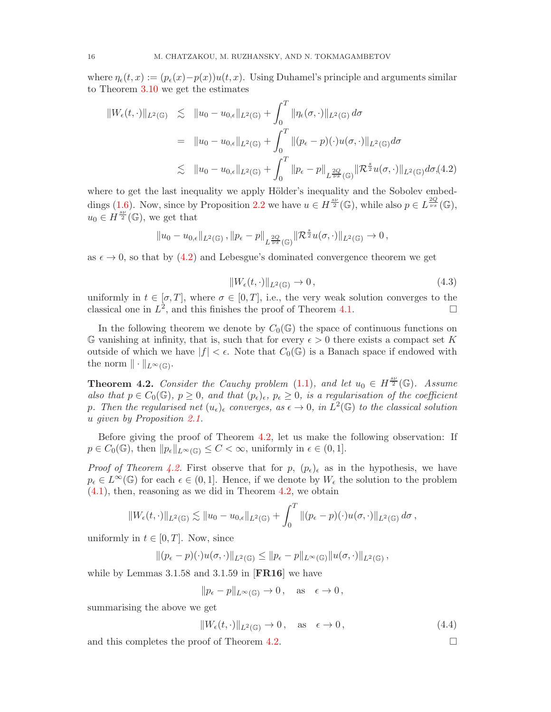where  $\eta_{\epsilon}(t, x) := (p_{\epsilon}(x) - p(x))u(t, x)$ . Using Duhamel's principle and arguments similar to Theorem [3.10](#page-12-2) we get the estimates

<span id="page-15-1"></span>
$$
\|W_{\epsilon}(t,\cdot)\|_{L^{2}(\mathbb{G})} \leq \|u_{0}-u_{0,\epsilon}\|_{L^{2}(\mathbb{G})} + \int_{0}^{T} \|\eta_{\epsilon}(\sigma,\cdot)\|_{L^{2}(\mathbb{G})} d\sigma
$$
  
\n
$$
= \|u_{0}-u_{0,\epsilon}\|_{L^{2}(\mathbb{G})} + \int_{0}^{T} \|(p_{\epsilon}-p)(\cdot)u(\sigma,\cdot)\|_{L^{2}(\mathbb{G})} d\sigma
$$
  
\n
$$
\leq \|u_{0}-u_{0,\epsilon}\|_{L^{2}(\mathbb{G})} + \int_{0}^{T} \|p_{\epsilon}-p\|_{L^{\frac{2Q}{\nu s}}(\mathbb{G})} \|\mathcal{R}^{\frac{s}{2}}u(\sigma,\cdot)\|_{L^{2}(\mathbb{G})} d\sigma,(4.2)
$$

where to get the last inequality we apply Hölder's inequality and the Sobolev embeddings  $(1.6)$ . Now, since by Proposition [2.2](#page-8-0) we have  $u \in H^{\frac{sv}{2}}(\mathbb{G})$ , while also  $p \in L^{\frac{2Q}{vs}}(\mathbb{G})$ ,  $u_0 \in H^{\frac{sv}{2}}(\mathbb{G})$ , we get that

$$
||u_0 - u_{0,\epsilon}||_{L^2(\mathbb{G})}, ||p_{\epsilon} - p||_{L^{\frac{2Q}{\nu s}}(\mathbb{G})} ||\mathcal{R}^{\frac{s}{2}}u(\sigma,\cdot)||_{L^2(\mathbb{G})} \to 0,
$$

as  $\epsilon \to 0$ , so that by [\(4.2\)](#page-15-1) and Lebesgue's dominated convergence theorem we get

$$
||W_{\epsilon}(t,\cdot)||_{L^{2}(\mathbb{G})}\to 0, \qquad (4.3)
$$

uniformly in  $t \in [\sigma, T]$ , where  $\sigma \in [0, T]$ , i.e., the very weak solution converges to the classical one in  $L^2$ , and this finishes the proof of Theorem 4.1. classical one in  $L^2$ , and this finishes the proof of Theorem [4.1.](#page-14-2)

In the following theorem we denote by  $C_0(\mathbb{G})$  the space of continuous functions on G vanishing at infinity, that is, such that for every  $\epsilon > 0$  there exists a compact set K outside of which we have  $|f| < \epsilon$ . Note that  $C_0(\mathbb{G})$  is a Banach space if endowed with the norm  $\|\cdot\|_{L^{\infty}(\mathbb{G})}$ .

<span id="page-15-2"></span>**Theorem 4.2.** Consider the Cauchy problem [\(1.1\)](#page-0-1), and let  $u_0 \in H^{\frac{8\nu}{2}}(\mathbb{G})$ . Assume also that  $p \in C_0(\mathbb{G})$ ,  $p \geq 0$ , and that  $(p_\epsilon)_{\epsilon}$ ,  $p_\epsilon \geq 0$ , is a regularisation of the coefficient p. Then the regularised net  $(u_\epsilon)_\epsilon$  converges, as  $\epsilon \to 0$ , in  $L^2(\mathbb{G})$  to the classical solution u given by Proposition [2.1.](#page-6-2)

Before giving the proof of Theorem [4.2,](#page-15-2) let us make the following observation: If  $p \in C_0(\mathbb{G})$ , then  $||p_\epsilon||_{L^\infty(\mathbb{G})} \leq C < \infty$ , uniformly in  $\epsilon \in (0, 1]$ .

*Proof of Theorem [4.2.](#page-15-2)* First observe that for p,  $(p_{\epsilon})_{\epsilon}$  as in the hypothesis, we have  $p_{\epsilon} \in L^{\infty}(\mathbb{G})$  for each  $\epsilon \in (0,1]$ . Hence, if we denote by  $W_{\epsilon}$  the solution to the problem [\(4.1\)](#page-14-3), then, reasoning as we did in Theorem [4.2,](#page-15-1) we obtain

$$
||W_{\epsilon}(t,\cdot)||_{L^{2}(\mathbb{G})}\lesssim ||u_{0}-u_{0,\epsilon}||_{L^{2}(\mathbb{G})}+\int_{0}^{T}||(p_{\epsilon}-p)(\cdot)u(\sigma,\cdot)||_{L^{2}(\mathbb{G})}d\sigma,
$$

uniformly in  $t \in [0, T]$ . Now, since

$$
\|(p_{\epsilon}-p)(\cdot)u(\sigma,\cdot)\|_{L^2(\mathbb{G})}\leq \|p_{\epsilon}-p\|_{L^{\infty}(\mathbb{G})}\|u(\sigma,\cdot)\|_{L^2(\mathbb{G})},
$$

while by Lemmas  $3.1.58$  and  $3.1.59$  in [FR16] we have

$$
\|p_{\epsilon} - p\|_{L^{\infty}(\mathbb{G})} \to 0, \quad \text{as} \quad \epsilon \to 0,
$$

summarising the above we get

$$
||W_{\epsilon}(t,\cdot)||_{L^{2}(\mathbb{G})}\to 0\,,\quad\text{as}\quad\epsilon\to 0\,,\tag{4.4}
$$

<span id="page-15-0"></span>and this completes the proof of Theorem [4.2.](#page-15-2)

$$
\Box
$$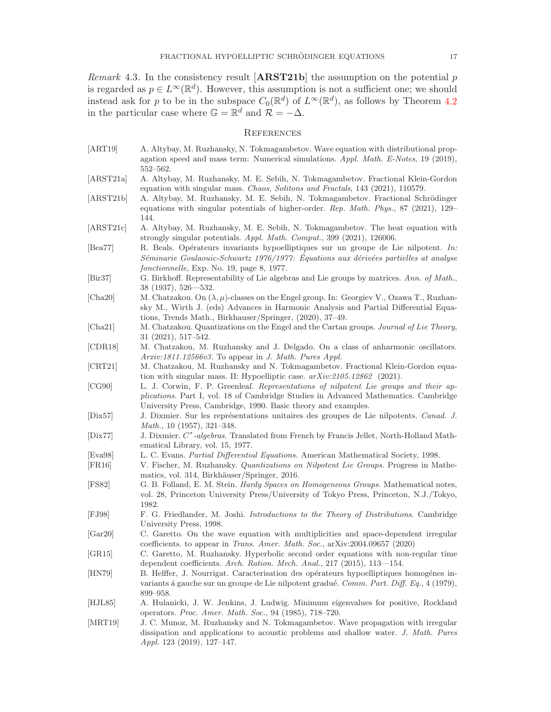*Remark* 4.3. In the consistency result  $[ARST21b]$  the assumption on the potential p is regarded as  $p \in L^{\infty}(\mathbb{R}^d)$ . However, this assumption is not a sufficient one; we should instead ask for p to be in the subspace  $C_0(\mathbb{R}^d)$  of  $L^{\infty}(\mathbb{R}^d)$ , as follows by Theorem [4.2](#page-15-2) in the particular case where  $\mathbb{G} = \mathbb{R}^d$  and  $\mathcal{R} = -\Delta$ .

#### <span id="page-16-0"></span>**REFERENCES**

[ART19] A. Altybay, M. Ruzhansky, N. Tokmagambetov. Wave equation with distributional propagation speed and mass term: Numerical simulations. Appl. Math. E-Notes, 19 (2019), 552–562. [ARST21a] A. Altybay, M. Ruzhansky, M. E. Sebih, N. Tokmagambetov. Fractional Klein-Gordon equation with singular mass. Chaos, Solitons and Fractals, 143 (2021), 110579. [ARST21b] A. Altybay, M. Ruzhansky, M. E. Sebih, N. Tokmagambetov. Fractional Schrödinger equations with singular potentials of higher-order. Rep. Math. Phys., 87 (2021), 129– 144. [ARST21c] A. Altybay, M. Ruzhansky, M. E. Sebih, N. Tokmagambetov. The heat equation with strongly singular potentials. Appl. Math. Comput., 399 (2021), 126006. [Bea77] R. Beals. Opérateurs invariants hypoelliptiques sur un groupe de Lie nilpotent. In: Séminarie Goulaouic-Schwartz 1976/1977: Équations aux dérivées partielles at analyse fonctionnelle, Exp. No. 19, page 8, 1977. [Bir37] G. Birkhoff. Representability of Lie algebras and Lie groups by matrices. Ann. of Math., 38 (1937), 526—532. [Cha20] M. Chatzakou. On  $(\lambda, \mu)$ -classes on the Engel group. In: Georgiev V., Ozawa T., Ruzhansky M., Wirth J. (eds) Advances in Harmonic Analysis and Partial Differential Equations, Trends Math., Birkhauser/Springer, (2020), 37–49. [Cha21] M. Chatzakou. Quantizations on the Engel and the Cartan groups. Journal of Lie Theory, 31 (2021), 517–542. [CDR18] M. Chatzakou, M. Ruzhansky and J. Delgado. On a class of anharmonic oscillators. Arxiv:1811.12566v3. To appear in J. Math. Pures Appl. [CRT21] M. Chatzakou, M. Ruzhansky and N. Tokmagambetov. Fractional Klein-Gordon equation with singular mass. II: Hypoelliptic case. arXiv:2105.12862 (2021). [CG90] L. J. Corwin, F. P. Greenleaf. Representations of nilpotent Lie groups and their applications. Part I, vol. 18 of Cambridge Studies in Advanced Mathematics. Cambridge University Press, Cambridge, 1990. Basic theory and examples. [Dix57] J. Dixmier. Sur les représentations unitaires des groupes de Lie nilpotents. Canad. J. Math., 10 (1957), 321–348. [Dix77] J. Dixmier. C<sup>\*</sup>-algebras. Translated from French by Francis Jellet, North-Holland Mathematical Library, vol. 15, 1977. [Eva98] L. C. Evans. Partial Differential Equations. American Mathematical Society, 1998. [FR16] V. Fischer, M. Ruzhansky. Quantizations on Nilpotent Lie Groups. Progress in Mathematics, vol. 314, Birkhäuser/Springer, 2016. [FS82] G. B. Folland, E. M. Stein. Hardy Spaces on Homogeneous Groups. Mathematical notes, vol. 28, Princeton University Press/University of Tokyo Press, Princeton, N.J./Tokyo, 1982. [FJ98] F. G. Friedlander, M. Joshi. Introductions to the Theory of Distributions. Cambridge University Press, 1998. [Gar20] C. Garetto. On the wave equation with multiplicities and space-dependent irregular coefficients. to appear in Trans. Amer. Math. Soc., arXiv:2004.09657 (2020) [GR15] C. Garetto, M. Ruzhansky. Hyperbolic second order equations with non-regular time dependent coefficients. Arch. Ration. Mech. Anal., 217 (2015), 113—154. [HN79] B. Helffer, J. Nourrigat. Caracterisation des opérateurs hypoelliptiques homogénes invariants á gauche sur un groupe de Lie nilpotent gradué. Comm. Part. Diff. Eq., 4 (1979), 899–958. [HJL85] A. Hulanicki, J. W. Jenkins, J. Ludwig. Minimum eigenvalues for positive, Rockland operators. Proc. Amer. Math. Soc., 94 (1985), 718–720. [MRT19] J. C. Munoz, M. Ruzhansky and N. Tokmagambetov. Wave propagation with irregular dissipation and applications to acoustic problems and shallow water. J. Math. Pures Appl. 123 (2019), 127–147.